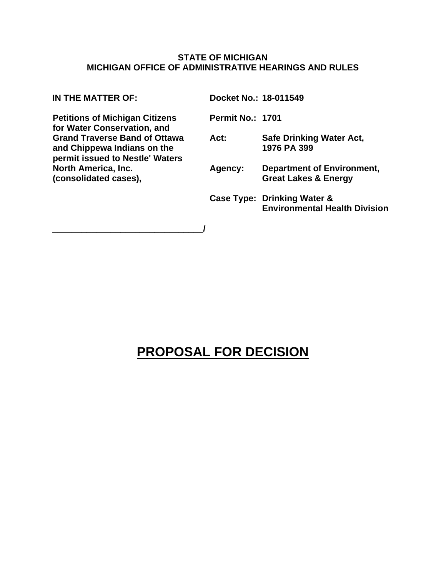#### **STATE OF MICHIGAN MICHIGAN OFFICE OF ADMINISTRATIVE HEARINGS AND RULES**

**Petitions of Michigan Citizens for Water Conservation, and Grand Traverse Band of Ottawa and Chippewa Indians on the permit issued to Nestle' Waters North America, Inc. (consolidated cases),** 

**\_\_\_\_\_\_\_\_\_\_\_\_\_\_\_\_\_\_\_\_\_\_\_\_\_\_\_\_\_\_\_/** 

**IN THE MATTER OF: Docket No.: 18-011549** 

**Permit No.: 1701** 

**Act: Safe Drinking Water Act, 1976 PA 399** 

- **Agency: Department of Environment, Great Lakes & Energy**
- **Case Type: Drinking Water & Environmental Health Division**

# **PROPOSAL FOR DECISION**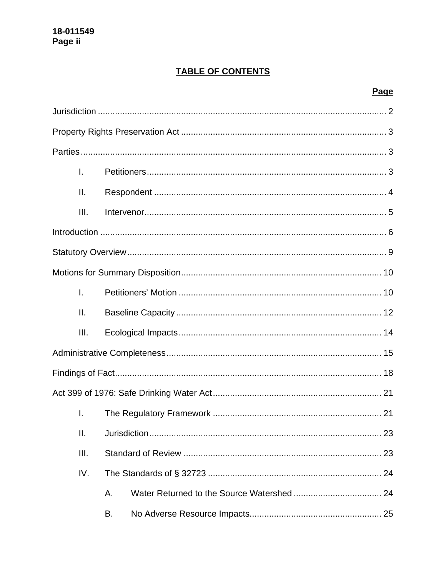# **TABLE OF CONTENTS**

# Page

| I.   |    |  |  |  |  |  |
|------|----|--|--|--|--|--|
| ΙΙ.  |    |  |  |  |  |  |
| III. |    |  |  |  |  |  |
|      |    |  |  |  |  |  |
|      |    |  |  |  |  |  |
|      |    |  |  |  |  |  |
| Ī.   |    |  |  |  |  |  |
| ΙΙ.  |    |  |  |  |  |  |
| III. |    |  |  |  |  |  |
|      |    |  |  |  |  |  |
|      |    |  |  |  |  |  |
|      |    |  |  |  |  |  |
| I.   |    |  |  |  |  |  |
| ΙΙ.  |    |  |  |  |  |  |
| Ш.   |    |  |  |  |  |  |
| IV.  |    |  |  |  |  |  |
|      | Α. |  |  |  |  |  |
|      | В. |  |  |  |  |  |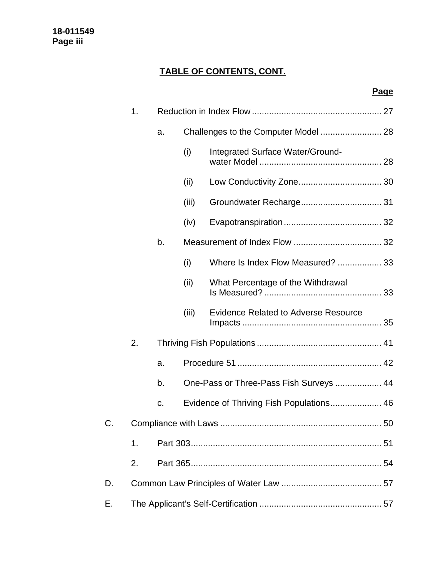# **TABLE OF CONTENTS, CONT.**

# **Page**

|    | 1. |    |       |                                             |  |  |
|----|----|----|-------|---------------------------------------------|--|--|
|    |    | a. |       |                                             |  |  |
|    |    |    | (i)   | Integrated Surface Water/Ground-            |  |  |
|    |    |    | (ii)  |                                             |  |  |
|    |    |    | (iii) |                                             |  |  |
|    |    |    | (iv)  |                                             |  |  |
|    |    | b. |       |                                             |  |  |
|    |    |    | (i)   | Where Is Index Flow Measured?  33           |  |  |
|    |    |    | (ii)  | What Percentage of the Withdrawal           |  |  |
|    |    |    | (iii) | <b>Evidence Related to Adverse Resource</b> |  |  |
|    | 2. |    |       |                                             |  |  |
|    |    | a. |       |                                             |  |  |
|    |    | b. |       | One-Pass or Three-Pass Fish Surveys  44     |  |  |
|    |    | C. |       | Evidence of Thriving Fish Populations 46    |  |  |
| C. |    |    |       |                                             |  |  |
|    | 1. |    |       |                                             |  |  |
|    | 2. |    |       |                                             |  |  |
| D. |    |    |       |                                             |  |  |
| Е. |    |    |       |                                             |  |  |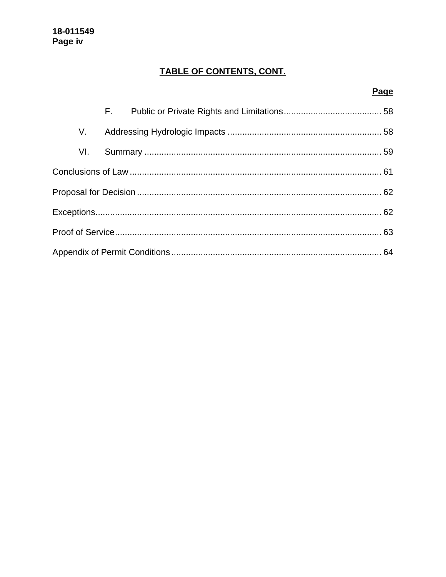# TABLE OF CONTENTS, CONT.

# Page

|  | V.  |  |  |  |  |  |
|--|-----|--|--|--|--|--|
|  | VI. |  |  |  |  |  |
|  |     |  |  |  |  |  |
|  |     |  |  |  |  |  |
|  |     |  |  |  |  |  |
|  |     |  |  |  |  |  |
|  |     |  |  |  |  |  |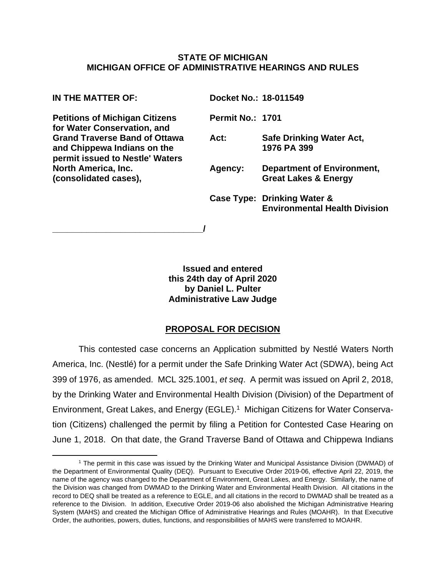#### **STATE OF MICHIGAN MICHIGAN OFFICE OF ADMINISTRATIVE HEARINGS AND RULES**

**Petitions of Michigan Citizens for Water Conservation, and Grand Traverse Band of Ottawa and Chippewa Indians on the permit issued to Nestle' Waters North America, Inc. (consolidated cases),** 

**\_\_\_\_\_\_\_\_\_\_\_\_\_\_\_\_\_\_\_\_\_\_\_\_\_\_\_\_\_\_\_/** 

**IN THE MATTER OF: Docket No.: 18-011549** 

**Permit No.: 1701** 

**Act: Safe Drinking Water Act, 1976 PA 399** 

- **Agency: Department of Environment, Great Lakes & Energy**
- **Case Type: Drinking Water & Environmental Health Division**

**Issued and entered this 24th day of April 2020 by Daniel L. Pulter Administrative Law Judge** 

# **PROPOSAL FOR DECISION**

This contested case concerns an Application submitted by Nestlé Waters North America, Inc. (Nestlé) for a permit under the Safe Drinking Water Act (SDWA), being Act 399 of 1976, as amended. MCL 325.1001, *et seq*. A permit was issued on April 2, 2018, by the Drinking Water and Environmental Health Division (Division) of the Department of Environment, Great Lakes, and Energy (EGLE).<sup>1</sup> Michigan Citizens for Water Conservation (Citizens) challenged the permit by filing a Petition for Contested Case Hearing on June 1, 2018. On that date, the Grand Traverse Band of Ottawa and Chippewa Indians

<sup>1</sup> The permit in this case was issued by the Drinking Water and Municipal Assistance Division (DWMAD) of the Department of Environmental Quality (DEQ). Pursuant to Executive Order 2019-06, effective April 22, 2019, the name of the agency was changed to the Department of Environment, Great Lakes, and Energy. Similarly, the name of the Division was changed from DWMAD to the Drinking Water and Environmental Health Division. All citations in the record to DEQ shall be treated as a reference to EGLE, and all citations in the record to DWMAD shall be treated as a reference to the Division. In addition, Executive Order 2019-06 also abolished the Michigan Administrative Hearing System (MAHS) and created the Michigan Office of Administrative Hearings and Rules (MOAHR). In that Executive Order, the authorities, powers, duties, functions, and responsibilities of MAHS were transferred to MOAHR.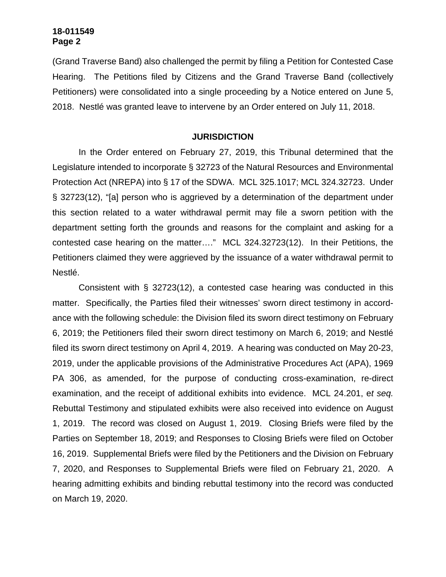(Grand Traverse Band) also challenged the permit by filing a Petition for Contested Case Hearing. The Petitions filed by Citizens and the Grand Traverse Band (collectively Petitioners) were consolidated into a single proceeding by a Notice entered on June 5, 2018. Nestlé was granted leave to intervene by an Order entered on July 11, 2018.

#### **JURISDICTION**

In the Order entered on February 27, 2019, this Tribunal determined that the Legislature intended to incorporate § 32723 of the Natural Resources and Environmental Protection Act (NREPA) into § 17 of the SDWA. MCL 325.1017; MCL 324.32723. Under § 32723(12), "[a] person who is aggrieved by a determination of the department under this section related to a water withdrawal permit may file a sworn petition with the department setting forth the grounds and reasons for the complaint and asking for a contested case hearing on the matter…." MCL 324.32723(12). In their Petitions, the Petitioners claimed they were aggrieved by the issuance of a water withdrawal permit to Nestlé.

Consistent with § 32723(12), a contested case hearing was conducted in this matter. Specifically, the Parties filed their witnesses' sworn direct testimony in accordance with the following schedule: the Division filed its sworn direct testimony on February 6, 2019; the Petitioners filed their sworn direct testimony on March 6, 2019; and Nestlé filed its sworn direct testimony on April 4, 2019. A hearing was conducted on May 20-23, 2019, under the applicable provisions of the Administrative Procedures Act (APA), 1969 PA 306, as amended, for the purpose of conducting cross-examination, re-direct examination, and the receipt of additional exhibits into evidence. MCL 24.201, e*t seq.* Rebuttal Testimony and stipulated exhibits were also received into evidence on August 1, 2019. The record was closed on August 1, 2019. Closing Briefs were filed by the Parties on September 18, 2019; and Responses to Closing Briefs were filed on October 16, 2019. Supplemental Briefs were filed by the Petitioners and the Division on February 7, 2020, and Responses to Supplemental Briefs were filed on February 21, 2020. A hearing admitting exhibits and binding rebuttal testimony into the record was conducted on March 19, 2020.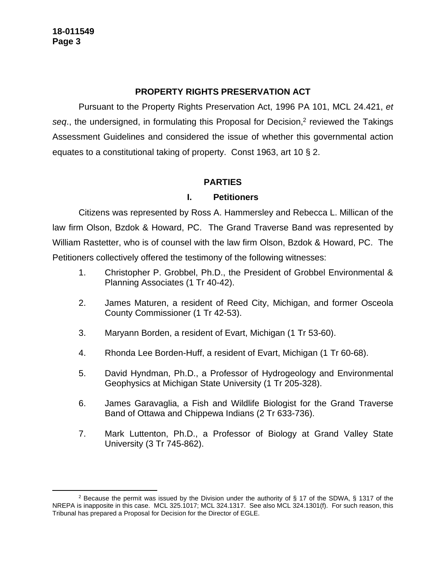# **PROPERTY RIGHTS PRESERVATION ACT**

Pursuant to the Property Rights Preservation Act, 1996 PA 101, MCL 24.421, *et*  seq., the undersigned, in formulating this Proposal for Decision,<sup>2</sup> reviewed the Takings Assessment Guidelines and considered the issue of whether this governmental action equates to a constitutional taking of property. Const 1963, art 10 § 2.

### **PARTIES**

#### **I. Petitioners**

Citizens was represented by Ross A. Hammersley and Rebecca L. Millican of the law firm Olson, Bzdok & Howard, PC. The Grand Traverse Band was represented by William Rastetter, who is of counsel with the law firm Olson, Bzdok & Howard, PC. The Petitioners collectively offered the testimony of the following witnesses:

- 1. Christopher P. Grobbel, Ph.D., the President of Grobbel Environmental & Planning Associates (1 Tr 40-42).
- 2. James Maturen, a resident of Reed City, Michigan, and former Osceola County Commissioner (1 Tr 42-53).
- 3. Maryann Borden, a resident of Evart, Michigan (1 Tr 53-60).
- 4. Rhonda Lee Borden-Huff, a resident of Evart, Michigan (1 Tr 60-68).
- 5. David Hyndman, Ph.D., a Professor of Hydrogeology and Environmental Geophysics at Michigan State University (1 Tr 205-328).
- 6. James Garavaglia, a Fish and Wildlife Biologist for the Grand Traverse Band of Ottawa and Chippewa Indians (2 Tr 633-736).
- 7. Mark Luttenton, Ph.D., a Professor of Biology at Grand Valley State University (3 Tr 745-862).

<sup>&</sup>lt;sup>2</sup> Because the permit was issued by the Division under the authority of § 17 of the SDWA, § 1317 of the NREPA is inapposite in this case. MCL 325.1017; MCL 324.1317. See also MCL 324.1301(f). For such reason, this Tribunal has prepared a Proposal for Decision for the Director of EGLE.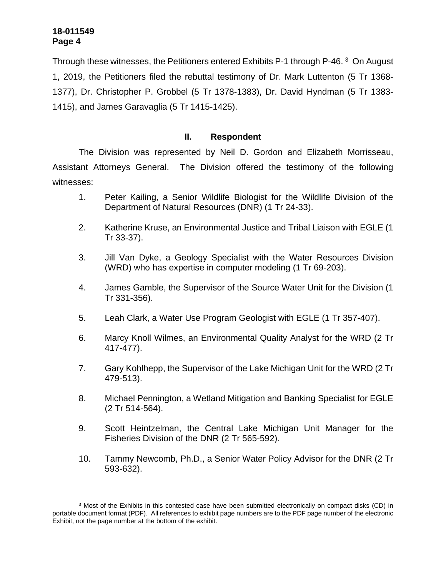Through these witnesses, the Petitioners entered Exhibits P-1 through P-46.<sup>3</sup> On August 1, 2019, the Petitioners filed the rebuttal testimony of Dr. Mark Luttenton (5 Tr 1368- 1377), Dr. Christopher P. Grobbel (5 Tr 1378-1383), Dr. David Hyndman (5 Tr 1383- 1415), and James Garavaglia (5 Tr 1415-1425).

# **II. Respondent**

The Division was represented by Neil D. Gordon and Elizabeth Morrisseau, Assistant Attorneys General. The Division offered the testimony of the following witnesses:

- 1. Peter Kailing, a Senior Wildlife Biologist for the Wildlife Division of the Department of Natural Resources (DNR) (1 Tr 24-33).
- 2. Katherine Kruse, an Environmental Justice and Tribal Liaison with EGLE (1 Tr 33-37).
- 3. Jill Van Dyke, a Geology Specialist with the Water Resources Division (WRD) who has expertise in computer modeling (1 Tr 69-203).
- 4. James Gamble, the Supervisor of the Source Water Unit for the Division (1 Tr 331-356).
- 5. Leah Clark, a Water Use Program Geologist with EGLE (1 Tr 357-407).
- 6. Marcy Knoll Wilmes, an Environmental Quality Analyst for the WRD (2 Tr 417-477).
- 7. Gary Kohlhepp, the Supervisor of the Lake Michigan Unit for the WRD (2 Tr 479-513).
- 8. Michael Pennington, a Wetland Mitigation and Banking Specialist for EGLE (2 Tr 514-564).
- 9. Scott Heintzelman, the Central Lake Michigan Unit Manager for the Fisheries Division of the DNR (2 Tr 565-592).
- 10. Tammy Newcomb, Ph.D., a Senior Water Policy Advisor for the DNR (2 Tr 593-632).

<sup>&</sup>lt;sup>3</sup> Most of the Exhibits in this contested case have been submitted electronically on compact disks (CD) in portable document format (PDF). All references to exhibit page numbers are to the PDF page number of the electronic Exhibit, not the page number at the bottom of the exhibit.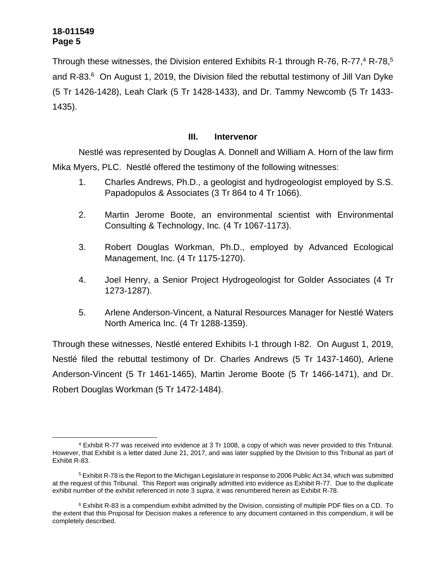Through these witnesses, the Division entered Exhibits R-1 through R-76, R-77,<sup>4</sup> R-78,<sup>5</sup> and R-83. $6$  On August 1, 2019, the Division filed the rebuttal testimony of Jill Van Dyke (5 Tr 1426-1428), Leah Clark (5 Tr 1428-1433), and Dr. Tammy Newcomb (5 Tr 1433- 1435).

# **III. Intervenor**

Nestlé was represented by Douglas A. Donnell and William A. Horn of the law firm Mika Myers, PLC. Nestlé offered the testimony of the following witnesses:

- 1. Charles Andrews, Ph.D., a geologist and hydrogeologist employed by S.S. Papadopulos & Associates (3 Tr 864 to 4 Tr 1066).
- 2. Martin Jerome Boote, an environmental scientist with Environmental Consulting & Technology, Inc. (4 Tr 1067-1173).
- 3. Robert Douglas Workman, Ph.D., employed by Advanced Ecological Management, Inc. (4 Tr 1175-1270).
- 4. Joel Henry, a Senior Project Hydrogeologist for Golder Associates (4 Tr 1273-1287).
- 5. Arlene Anderson-Vincent, a Natural Resources Manager for Nestlé Waters North America Inc. (4 Tr 1288-1359).

Through these witnesses, Nestlé entered Exhibits I-1 through I-82. On August 1, 2019, Nestlé filed the rebuttal testimony of Dr. Charles Andrews (5 Tr 1437-1460), Arlene Anderson-Vincent (5 Tr 1461-1465), Martin Jerome Boote (5 Tr 1466-1471), and Dr. Robert Douglas Workman (5 Tr 1472-1484).

<sup>4</sup> Exhibit R-77 was received into evidence at 3 Tr 1008, a copy of which was never provided to this Tribunal. However, that Exhibit is a letter dated June 21, 2017, and was later supplied by the Division to this Tribunal as part of Exhibit R-83.

 $^5$  Exhibit R-78 is the Report to the Michigan Legislature in response to 2006 Public Act 34, which was submitted at the request of this Tribunal. This Report was originally admitted into evidence as Exhibit R-77. Due to the duplicate exhibit number of the exhibit referenced in note 3 *supra*, it was renumbered herein as Exhibit R-78.

<sup>&</sup>lt;sup>6</sup> Exhibit R-83 is a compendium exhibit admitted by the Division, consisting of multiple PDF files on a CD. To the extent that this Proposal for Decision makes a reference to any document contained in this compendium, it will be completely described.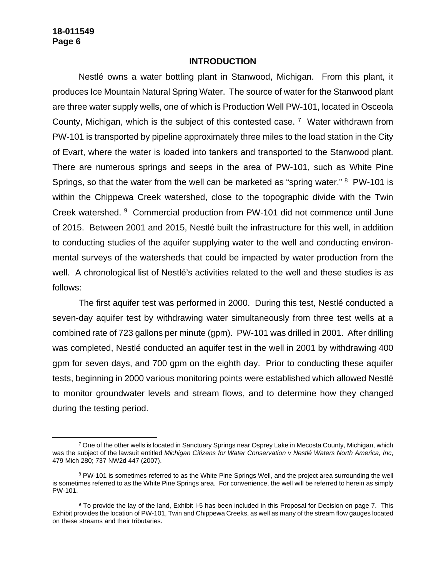#### **INTRODUCTION**

Nestlé owns a water bottling plant in Stanwood, Michigan. From this plant, it produces Ice Mountain Natural Spring Water. The source of water for the Stanwood plant are three water supply wells, one of which is Production Well PW-101, located in Osceola County, Michigan, which is the subject of this contested case.<sup>7</sup> Water withdrawn from PW-101 is transported by pipeline approximately three miles to the load station in the City of Evart, where the water is loaded into tankers and transported to the Stanwood plant. There are numerous springs and seeps in the area of PW-101, such as White Pine Springs, so that the water from the well can be marketed as "spring water." <sup>8</sup> PW-101 is within the Chippewa Creek watershed, close to the topographic divide with the Twin Creek watershed. <sup>9</sup> Commercial production from PW-101 did not commence until June of 2015. Between 2001 and 2015, Nestlé built the infrastructure for this well, in addition to conducting studies of the aquifer supplying water to the well and conducting environmental surveys of the watersheds that could be impacted by water production from the well. A chronological list of Nestlé's activities related to the well and these studies is as follows:

The first aquifer test was performed in 2000. During this test, Nestlé conducted a seven-day aquifer test by withdrawing water simultaneously from three test wells at a combined rate of 723 gallons per minute (gpm). PW-101 was drilled in 2001. After drilling was completed, Nestlé conducted an aquifer test in the well in 2001 by withdrawing 400 gpm for seven days, and 700 gpm on the eighth day. Prior to conducting these aquifer tests, beginning in 2000 various monitoring points were established which allowed Nestlé to monitor groundwater levels and stream flows, and to determine how they changed during the testing period.

<sup>7</sup> One of the other wells is located in Sanctuary Springs near Osprey Lake in Mecosta County, Michigan, which was the subject of the lawsuit entitled *Michigan Citizens for Water Conservation v Nestlé Waters North America, Inc*, 479 Mich 280; 737 NW2d 447 (2007).

<sup>&</sup>lt;sup>8</sup> PW-101 is sometimes referred to as the White Pine Springs Well, and the project area surrounding the well is sometimes referred to as the White Pine Springs area. For convenience, the well will be referred to herein as simply PW-101.

<sup>&</sup>lt;sup>9</sup> To provide the lay of the land, Exhibit I-5 has been included in this Proposal for Decision on page 7. This Exhibit provides the location of PW-101, Twin and Chippewa Creeks, as well as many of the stream flow gauges located on these streams and their tributaries.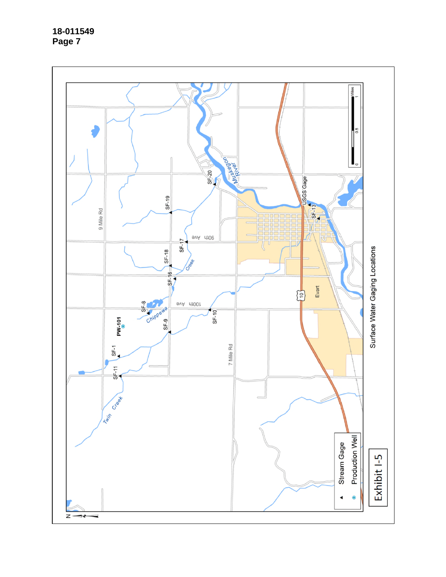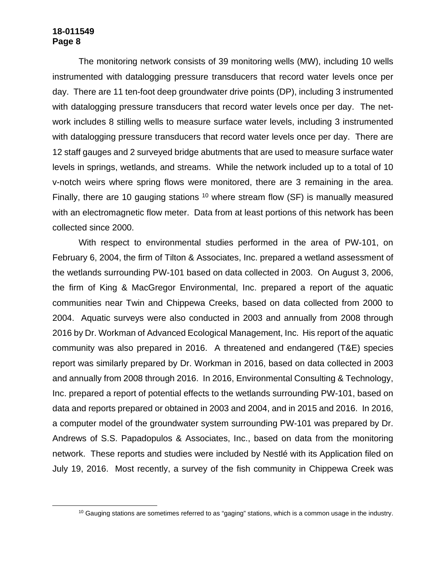The monitoring network consists of 39 monitoring wells (MW), including 10 wells instrumented with datalogging pressure transducers that record water levels once per day. There are 11 ten-foot deep groundwater drive points (DP), including 3 instrumented with datalogging pressure transducers that record water levels once per day. The network includes 8 stilling wells to measure surface water levels, including 3 instrumented with datalogging pressure transducers that record water levels once per day. There are 12 staff gauges and 2 surveyed bridge abutments that are used to measure surface water levels in springs, wetlands, and streams. While the network included up to a total of 10 v-notch weirs where spring flows were monitored, there are 3 remaining in the area. Finally, there are 10 gauging stations  $10$  where stream flow (SF) is manually measured with an electromagnetic flow meter. Data from at least portions of this network has been collected since 2000.

With respect to environmental studies performed in the area of PW-101, on February 6, 2004, the firm of Tilton & Associates, Inc. prepared a wetland assessment of the wetlands surrounding PW-101 based on data collected in 2003. On August 3, 2006, the firm of King & MacGregor Environmental, Inc. prepared a report of the aquatic communities near Twin and Chippewa Creeks, based on data collected from 2000 to 2004. Aquatic surveys were also conducted in 2003 and annually from 2008 through 2016 by Dr. Workman of Advanced Ecological Management, Inc. His report of the aquatic community was also prepared in 2016. A threatened and endangered (T&E) species report was similarly prepared by Dr. Workman in 2016, based on data collected in 2003 and annually from 2008 through 2016. In 2016, Environmental Consulting & Technology, Inc. prepared a report of potential effects to the wetlands surrounding PW-101, based on data and reports prepared or obtained in 2003 and 2004, and in 2015 and 2016. In 2016, a computer model of the groundwater system surrounding PW-101 was prepared by Dr. Andrews of S.S. Papadopulos & Associates, Inc., based on data from the monitoring network. These reports and studies were included by Nestlé with its Application filed on July 19, 2016. Most recently, a survey of the fish community in Chippewa Creek was

<sup>&</sup>lt;sup>10</sup> Gauging stations are sometimes referred to as "gaging" stations, which is a common usage in the industry.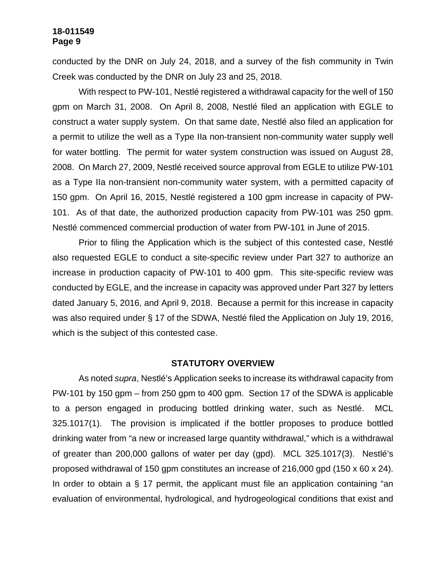conducted by the DNR on July 24, 2018, and a survey of the fish community in Twin Creek was conducted by the DNR on July 23 and 25, 2018.

With respect to PW-101, Nestlé registered a withdrawal capacity for the well of 150 gpm on March 31, 2008. On April 8, 2008, Nestlé filed an application with EGLE to construct a water supply system. On that same date, Nestlé also filed an application for a permit to utilize the well as a Type IIa non-transient non-community water supply well for water bottling. The permit for water system construction was issued on August 28, 2008. On March 27, 2009, Nestlé received source approval from EGLE to utilize PW-101 as a Type IIa non-transient non-community water system, with a permitted capacity of 150 gpm. On April 16, 2015, Nestlé registered a 100 gpm increase in capacity of PW-101. As of that date, the authorized production capacity from PW-101 was 250 gpm. Nestlé commenced commercial production of water from PW-101 in June of 2015.

Prior to filing the Application which is the subject of this contested case, Nestlé also requested EGLE to conduct a site-specific review under Part 327 to authorize an increase in production capacity of PW-101 to 400 gpm. This site-specific review was conducted by EGLE, and the increase in capacity was approved under Part 327 by letters dated January 5, 2016, and April 9, 2018. Because a permit for this increase in capacity was also required under § 17 of the SDWA, Nestlé filed the Application on July 19, 2016, which is the subject of this contested case.

#### **STATUTORY OVERVIEW**

As noted *supra*, Nestlé's Application seeks to increase its withdrawal capacity from PW-101 by 150 gpm – from 250 gpm to 400 gpm. Section 17 of the SDWA is applicable to a person engaged in producing bottled drinking water, such as Nestlé. MCL 325.1017(1). The provision is implicated if the bottler proposes to produce bottled drinking water from "a new or increased large quantity withdrawal," which is a withdrawal of greater than 200,000 gallons of water per day (gpd). MCL 325.1017(3). Nestlé's proposed withdrawal of 150 gpm constitutes an increase of 216,000 gpd (150 x 60 x 24). In order to obtain a  $\S$  17 permit, the applicant must file an application containing "an evaluation of environmental, hydrological, and hydrogeological conditions that exist and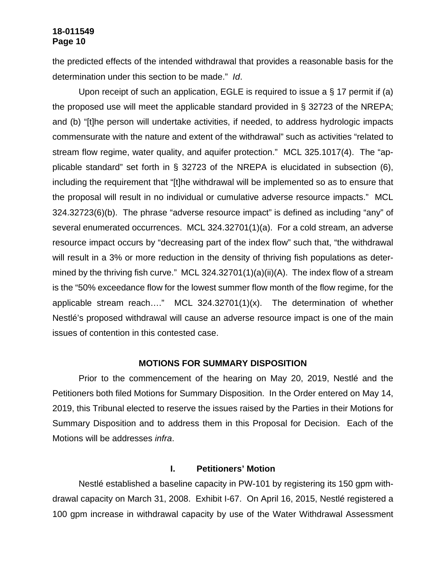the predicted effects of the intended withdrawal that provides a reasonable basis for the determination under this section to be made." *Id*.

Upon receipt of such an application, EGLE is required to issue a § 17 permit if (a) the proposed use will meet the applicable standard provided in § 32723 of the NREPA; and (b) "[t]he person will undertake activities, if needed, to address hydrologic impacts commensurate with the nature and extent of the withdrawal" such as activities "related to stream flow regime, water quality, and aquifer protection." MCL 325.1017(4). The "applicable standard" set forth in § 32723 of the NREPA is elucidated in subsection (6), including the requirement that "[t]he withdrawal will be implemented so as to ensure that the proposal will result in no individual or cumulative adverse resource impacts." MCL 324.32723(6)(b). The phrase "adverse resource impact" is defined as including "any" of several enumerated occurrences. MCL 324.32701(1)(a). For a cold stream, an adverse resource impact occurs by "decreasing part of the index flow" such that, "the withdrawal will result in a 3% or more reduction in the density of thriving fish populations as determined by the thriving fish curve." MCL 324.32701(1)(a)(ii)(A). The index flow of a stream is the "50% exceedance flow for the lowest summer flow month of the flow regime, for the applicable stream reach…." MCL 324.32701(1)(x). The determination of whether Nestlé's proposed withdrawal will cause an adverse resource impact is one of the main issues of contention in this contested case.

#### **MOTIONS FOR SUMMARY DISPOSITION**

Prior to the commencement of the hearing on May 20, 2019, Nestlé and the Petitioners both filed Motions for Summary Disposition. In the Order entered on May 14, 2019, this Tribunal elected to reserve the issues raised by the Parties in their Motions for Summary Disposition and to address them in this Proposal for Decision. Each of the Motions will be addresses *infra*.

#### **I. Petitioners' Motion**

Nestlé established a baseline capacity in PW-101 by registering its 150 gpm withdrawal capacity on March 31, 2008. Exhibit I-67. On April 16, 2015, Nestlé registered a 100 gpm increase in withdrawal capacity by use of the Water Withdrawal Assessment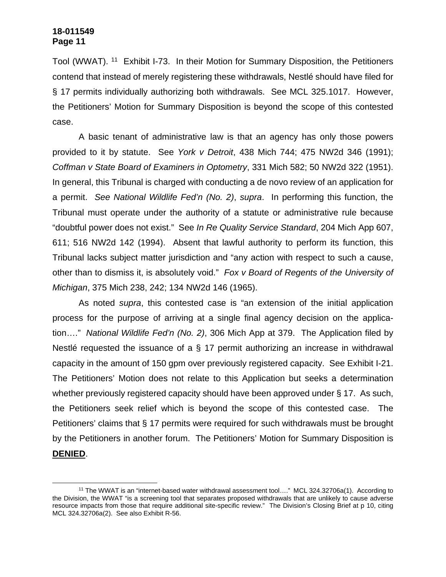Tool (WWAT). <sup>11</sup> Exhibit I-73. In their Motion for Summary Disposition, the Petitioners contend that instead of merely registering these withdrawals, Nestlé should have filed for § 17 permits individually authorizing both withdrawals. See MCL 325.1017. However, the Petitioners' Motion for Summary Disposition is beyond the scope of this contested case.

A basic tenant of administrative law is that an agency has only those powers provided to it by statute. See *York v Detroit*, 438 Mich 744; 475 NW2d 346 (1991); *Coffman v State Board of Examiners in Optometry*, 331 Mich 582; 50 NW2d 322 (1951). In general, this Tribunal is charged with conducting a de novo review of an application for a permit. *See National Wildlife Fed'n (No. 2)*, *supra*. In performing this function, the Tribunal must operate under the authority of a statute or administrative rule because "doubtful power does not exist." See *In Re Quality Service Standard*, 204 Mich App 607, 611; 516 NW2d 142 (1994). Absent that lawful authority to perform its function, this Tribunal lacks subject matter jurisdiction and "any action with respect to such a cause, other than to dismiss it, is absolutely void." *Fox v Board of Regents of the University of Michigan*, 375 Mich 238, 242; 134 NW2d 146 (1965).

As noted *supra*, this contested case is "an extension of the initial application process for the purpose of arriving at a single final agency decision on the application…." *National Wildlife Fed'n (No. 2)*, 306 Mich App at 379. The Application filed by Nestlé requested the issuance of a § 17 permit authorizing an increase in withdrawal capacity in the amount of 150 gpm over previously registered capacity. See Exhibit I-21. The Petitioners' Motion does not relate to this Application but seeks a determination whether previously registered capacity should have been approved under § 17. As such, the Petitioners seek relief which is beyond the scope of this contested case. The Petitioners' claims that § 17 permits were required for such withdrawals must be brought by the Petitioners in another forum. The Petitioners' Motion for Summary Disposition is **DENIED**.

<sup>11</sup> The WWAT is an "internet-based water withdrawal assessment tool…." MCL 324.32706a(1). According to the Division, the WWAT "is a screening tool that separates proposed withdrawals that are unlikely to cause adverse resource impacts from those that require additional site-specific review." The Division's Closing Brief at p 10, citing MCL 324.32706a(2). See also Exhibit R-56.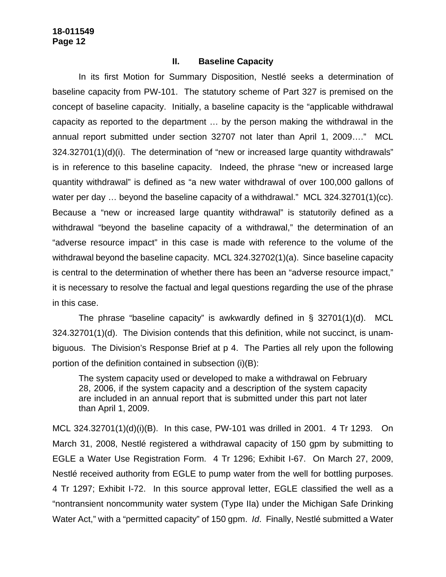#### **II. Baseline Capacity**

In its first Motion for Summary Disposition, Nestlé seeks a determination of baseline capacity from PW-101. The statutory scheme of Part 327 is premised on the concept of baseline capacity. Initially, a baseline capacity is the "applicable withdrawal capacity as reported to the department … by the person making the withdrawal in the annual report submitted under section 32707 not later than April 1, 2009…." MCL 324.32701(1)(d)(i). The determination of "new or increased large quantity withdrawals" is in reference to this baseline capacity. Indeed, the phrase "new or increased large quantity withdrawal" is defined as "a new water withdrawal of over 100,000 gallons of water per day ... beyond the baseline capacity of a withdrawal." MCL 324.32701(1)(cc). Because a "new or increased large quantity withdrawal" is statutorily defined as a withdrawal "beyond the baseline capacity of a withdrawal," the determination of an "adverse resource impact" in this case is made with reference to the volume of the withdrawal beyond the baseline capacity. MCL 324.32702(1)(a). Since baseline capacity is central to the determination of whether there has been an "adverse resource impact," it is necessary to resolve the factual and legal questions regarding the use of the phrase in this case.

The phrase "baseline capacity" is awkwardly defined in § 32701(1)(d). MCL 324.32701(1)(d). The Division contends that this definition, while not succinct, is unambiguous. The Division's Response Brief at p 4. The Parties all rely upon the following portion of the definition contained in subsection (i)(B):

The system capacity used or developed to make a withdrawal on February 28, 2006, if the system capacity and a description of the system capacity are included in an annual report that is submitted under this part not later than April 1, 2009.

MCL 324.32701(1)(d)(i)(B). In this case, PW-101 was drilled in 2001. 4 Tr 1293. On March 31, 2008, Nestlé registered a withdrawal capacity of 150 gpm by submitting to EGLE a Water Use Registration Form. 4 Tr 1296; Exhibit I-67. On March 27, 2009, Nestlé received authority from EGLE to pump water from the well for bottling purposes. 4 Tr 1297; Exhibit I-72. In this source approval letter, EGLE classified the well as a "nontransient noncommunity water system (Type IIa) under the Michigan Safe Drinking Water Act," with a "permitted capacity" of 150 gpm. *Id*. Finally, Nestlé submitted a Water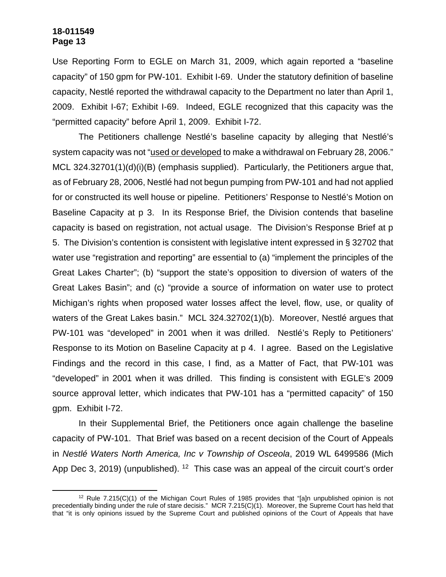Use Reporting Form to EGLE on March 31, 2009, which again reported a "baseline capacity" of 150 gpm for PW-101. Exhibit I-69. Under the statutory definition of baseline capacity, Nestlé reported the withdrawal capacity to the Department no later than April 1, 2009. Exhibit I-67; Exhibit I-69. Indeed, EGLE recognized that this capacity was the "permitted capacity" before April 1, 2009. Exhibit I-72.

The Petitioners challenge Nestlé's baseline capacity by alleging that Nestlé's system capacity was not "used or developed to make a withdrawal on February 28, 2006." MCL 324.32701(1)(d)(i)(B) (emphasis supplied). Particularly, the Petitioners argue that, as of February 28, 2006, Nestlé had not begun pumping from PW-101 and had not applied for or constructed its well house or pipeline. Petitioners' Response to Nestlé's Motion on Baseline Capacity at p 3. In its Response Brief, the Division contends that baseline capacity is based on registration, not actual usage. The Division's Response Brief at p 5. The Division's contention is consistent with legislative intent expressed in § 32702 that water use "registration and reporting" are essential to (a) "implement the principles of the Great Lakes Charter"; (b) "support the state's opposition to diversion of waters of the Great Lakes Basin"; and (c) "provide a source of information on water use to protect Michigan's rights when proposed water losses affect the level, flow, use, or quality of waters of the Great Lakes basin." MCL 324.32702(1)(b). Moreover, Nestlé argues that PW-101 was "developed" in 2001 when it was drilled. Nestlé's Reply to Petitioners' Response to its Motion on Baseline Capacity at p 4. I agree. Based on the Legislative Findings and the record in this case, I find, as a Matter of Fact, that PW-101 was "developed" in 2001 when it was drilled. This finding is consistent with EGLE's 2009 source approval letter, which indicates that PW-101 has a "permitted capacity" of 150 gpm. Exhibit I-72.

In their Supplemental Brief, the Petitioners once again challenge the baseline capacity of PW-101. That Brief was based on a recent decision of the Court of Appeals in *Nestlé Waters North America, Inc v Township of Osceola*, 2019 WL 6499586 (Mich App Dec 3, 2019) (unpublished). <sup>12</sup> This case was an appeal of the circuit court's order

 $12$  Rule 7.215(C)(1) of the Michigan Court Rules of 1985 provides that "[a]n unpublished opinion is not precedentially binding under the rule of stare decisis." MCR 7.215(C)(1). Moreover, the Supreme Court has held that that "it is only opinions issued by the Supreme Court and published opinions of the Court of Appeals that have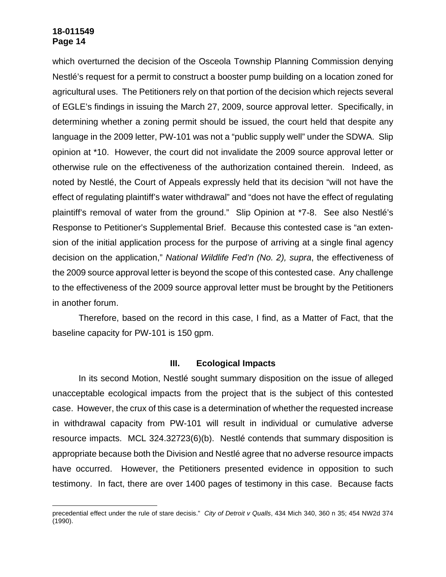which overturned the decision of the Osceola Township Planning Commission denying Nestlé's request for a permit to construct a booster pump building on a location zoned for agricultural uses. The Petitioners rely on that portion of the decision which rejects several of EGLE's findings in issuing the March 27, 2009, source approval letter. Specifically, in determining whether a zoning permit should be issued, the court held that despite any language in the 2009 letter, PW-101 was not a "public supply well" under the SDWA. Slip opinion at \*10. However, the court did not invalidate the 2009 source approval letter or otherwise rule on the effectiveness of the authorization contained therein. Indeed, as noted by Nestlé, the Court of Appeals expressly held that its decision "will not have the effect of regulating plaintiff's water withdrawal" and "does not have the effect of regulating plaintiff's removal of water from the ground." Slip Opinion at \*7-8. See also Nestlé's Response to Petitioner's Supplemental Brief. Because this contested case is "an extension of the initial application process for the purpose of arriving at a single final agency decision on the application," *National Wildlife Fed'n (No. 2), supra*, the effectiveness of the 2009 source approval letter is beyond the scope of this contested case. Any challenge to the effectiveness of the 2009 source approval letter must be brought by the Petitioners in another forum.

Therefore, based on the record in this case, I find, as a Matter of Fact, that the baseline capacity for PW-101 is 150 gpm.

#### **III. Ecological Impacts**

In its second Motion, Nestlé sought summary disposition on the issue of alleged unacceptable ecological impacts from the project that is the subject of this contested case. However, the crux of this case is a determination of whether the requested increase in withdrawal capacity from PW-101 will result in individual or cumulative adverse resource impacts. MCL 324.32723(6)(b). Nestlé contends that summary disposition is appropriate because both the Division and Nestlé agree that no adverse resource impacts have occurred. However, the Petitioners presented evidence in opposition to such testimony. In fact, there are over 1400 pages of testimony in this case. Because facts

precedential effect under the rule of stare decisis." *City of Detroit v Qualls*, 434 Mich 340, 360 n 35; 454 NW2d 374 (1990).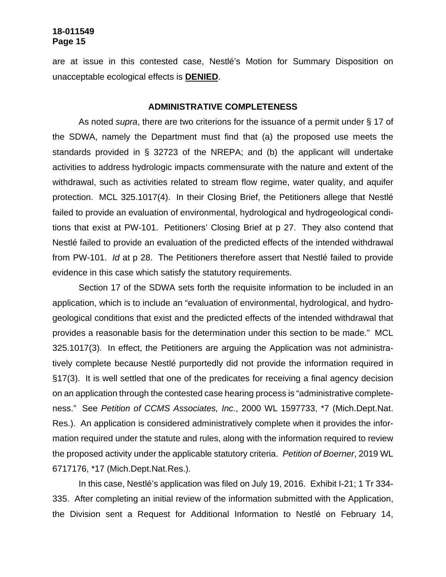are at issue in this contested case, Nestlé's Motion for Summary Disposition on unacceptable ecological effects is **DENIED**.

#### **ADMINISTRATIVE COMPLETENESS**

As noted *supra*, there are two criterions for the issuance of a permit under § 17 of the SDWA, namely the Department must find that (a) the proposed use meets the standards provided in § 32723 of the NREPA; and (b) the applicant will undertake activities to address hydrologic impacts commensurate with the nature and extent of the withdrawal, such as activities related to stream flow regime, water quality, and aquifer protection. MCL 325.1017(4). In their Closing Brief, the Petitioners allege that Nestlé failed to provide an evaluation of environmental, hydrological and hydrogeological conditions that exist at PW-101. Petitioners' Closing Brief at p 27. They also contend that Nestlé failed to provide an evaluation of the predicted effects of the intended withdrawal from PW-101. *Id* at p 28. The Petitioners therefore assert that Nestlé failed to provide evidence in this case which satisfy the statutory requirements.

Section 17 of the SDWA sets forth the requisite information to be included in an application, which is to include an "evaluation of environmental, hydrological, and hydrogeological conditions that exist and the predicted effects of the intended withdrawal that provides a reasonable basis for the determination under this section to be made." MCL 325.1017(3). In effect, the Petitioners are arguing the Application was not administratively complete because Nestlé purportedly did not provide the information required in §17(3). It is well settled that one of the predicates for receiving a final agency decision on an application through the contested case hearing process is "administrative completeness." See *Petition of CCMS Associates, Inc.*, 2000 WL 1597733, \*7 (Mich.Dept.Nat. Res.). An application is considered administratively complete when it provides the information required under the statute and rules, along with the information required to review the proposed activity under the applicable statutory criteria. *Petition of Boerner*, 2019 WL 6717176, \*17 (Mich.Dept.Nat.Res.).

In this case, Nestlé's application was filed on July 19, 2016. Exhibit I-21; 1 Tr 334- 335. After completing an initial review of the information submitted with the Application, the Division sent a Request for Additional Information to Nestlé on February 14,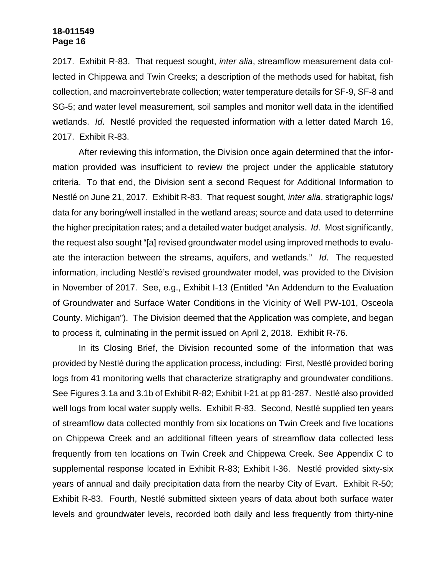2017. Exhibit R-83. That request sought, *inter alia*, streamflow measurement data collected in Chippewa and Twin Creeks; a description of the methods used for habitat, fish collection, and macroinvertebrate collection; water temperature details for SF-9, SF-8 and SG-5; and water level measurement, soil samples and monitor well data in the identified wetlands. *Id*. Nestlé provided the requested information with a letter dated March 16, 2017. Exhibit R-83.

After reviewing this information, the Division once again determined that the information provided was insufficient to review the project under the applicable statutory criteria. To that end, the Division sent a second Request for Additional Information to Nestlé on June 21, 2017. Exhibit R-83. That request sought, *inter alia*, stratigraphic logs/ data for any boring/well installed in the wetland areas; source and data used to determine the higher precipitation rates; and a detailed water budget analysis. *Id*. Most significantly, the request also sought "[a] revised groundwater model using improved methods to evaluate the interaction between the streams, aquifers, and wetlands." *Id*. The requested information, including Nestlé's revised groundwater model, was provided to the Division in November of 2017. See, e.g., Exhibit I-13 (Entitled "An Addendum to the Evaluation of Groundwater and Surface Water Conditions in the Vicinity of Well PW-101, Osceola County. Michigan"). The Division deemed that the Application was complete, and began to process it, culminating in the permit issued on April 2, 2018. Exhibit R-76.

In its Closing Brief, the Division recounted some of the information that was provided by Nestlé during the application process, including: First, Nestlé provided boring logs from 41 monitoring wells that characterize stratigraphy and groundwater conditions. See Figures 3.1a and 3.1b of Exhibit R-82; Exhibit I-21 at pp 81-287. Nestlé also provided well logs from local water supply wells. Exhibit R-83. Second, Nestlé supplied ten years of streamflow data collected monthly from six locations on Twin Creek and five locations on Chippewa Creek and an additional fifteen years of streamflow data collected less frequently from ten locations on Twin Creek and Chippewa Creek. See Appendix C to supplemental response located in Exhibit R-83; Exhibit I-36. Nestlé provided sixty-six years of annual and daily precipitation data from the nearby City of Evart. Exhibit R-50; Exhibit R-83. Fourth, Nestlé submitted sixteen years of data about both surface water levels and groundwater levels, recorded both daily and less frequently from thirty-nine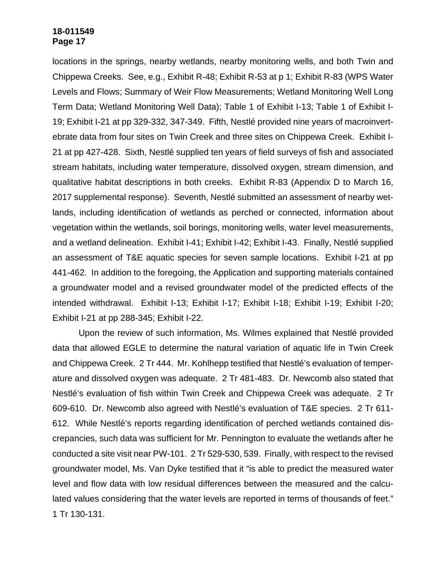locations in the springs, nearby wetlands, nearby monitoring wells, and both Twin and Chippewa Creeks. See, e.g., Exhibit R-48; Exhibit R-53 at p 1; Exhibit R-83 (WPS Water Levels and Flows; Summary of Weir Flow Measurements; Wetland Monitoring Well Long Term Data; Wetland Monitoring Well Data); Table 1 of Exhibit I-13; Table 1 of Exhibit I-19; Exhibit I-21 at pp 329-332, 347-349. Fifth, Nestlé provided nine years of macroinvertebrate data from four sites on Twin Creek and three sites on Chippewa Creek. Exhibit I-21 at pp 427-428. Sixth, Nestlé supplied ten years of field surveys of fish and associated stream habitats, including water temperature, dissolved oxygen, stream dimension, and qualitative habitat descriptions in both creeks. Exhibit R-83 (Appendix D to March 16, 2017 supplemental response). Seventh, Nestlé submitted an assessment of nearby wetlands, including identification of wetlands as perched or connected, information about vegetation within the wetlands, soil borings, monitoring wells, water level measurements, and a wetland delineation. Exhibit I-41; Exhibit I-42; Exhibit I-43. Finally, Nestlé supplied an assessment of T&E aquatic species for seven sample locations. Exhibit I-21 at pp 441-462. In addition to the foregoing, the Application and supporting materials contained a groundwater model and a revised groundwater model of the predicted effects of the intended withdrawal. Exhibit I-13; Exhibit I-17; Exhibit I-18; Exhibit I-19; Exhibit I-20; Exhibit I-21 at pp 288-345; Exhibit I-22.

Upon the review of such information, Ms. Wilmes explained that Nestlé provided data that allowed EGLE to determine the natural variation of aquatic life in Twin Creek and Chippewa Creek. 2 Tr 444. Mr. Kohlhepp testified that Nestlé's evaluation of temperature and dissolved oxygen was adequate. 2 Tr 481-483. Dr. Newcomb also stated that Nestlé's evaluation of fish within Twin Creek and Chippewa Creek was adequate. 2 Tr 609-610. Dr. Newcomb also agreed with Nestlé's evaluation of T&E species. 2 Tr 611- 612. While Nestlé's reports regarding identification of perched wetlands contained discrepancies, such data was sufficient for Mr. Pennington to evaluate the wetlands after he conducted a site visit near PW-101. 2 Tr 529-530, 539. Finally, with respect to the revised groundwater model, Ms. Van Dyke testified that it "is able to predict the measured water level and flow data with low residual differences between the measured and the calculated values considering that the water levels are reported in terms of thousands of feet." 1 Tr 130-131.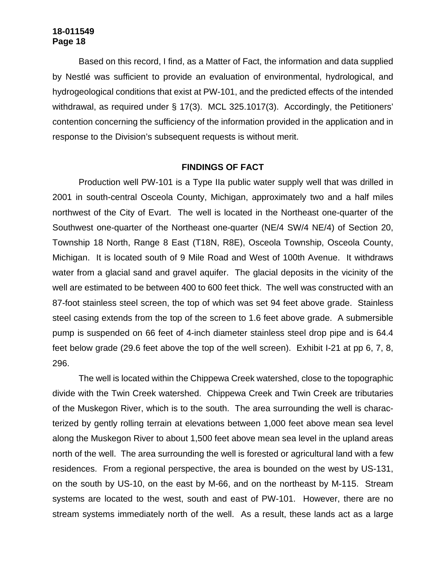Based on this record, I find, as a Matter of Fact, the information and data supplied by Nestlé was sufficient to provide an evaluation of environmental, hydrological, and hydrogeological conditions that exist at PW-101, and the predicted effects of the intended withdrawal, as required under § 17(3). MCL 325.1017(3). Accordingly, the Petitioners' contention concerning the sufficiency of the information provided in the application and in response to the Division's subsequent requests is without merit.

#### **FINDINGS OF FACT**

Production well PW-101 is a Type IIa public water supply well that was drilled in 2001 in south-central Osceola County, Michigan, approximately two and a half miles northwest of the City of Evart. The well is located in the Northeast one-quarter of the Southwest one-quarter of the Northeast one-quarter (NE/4 SW/4 NE/4) of Section 20, Township 18 North, Range 8 East (T18N, R8E), Osceola Township, Osceola County, Michigan. It is located south of 9 Mile Road and West of 100th Avenue. It withdraws water from a glacial sand and gravel aquifer. The glacial deposits in the vicinity of the well are estimated to be between 400 to 600 feet thick. The well was constructed with an 87-foot stainless steel screen, the top of which was set 94 feet above grade. Stainless steel casing extends from the top of the screen to 1.6 feet above grade. A submersible pump is suspended on 66 feet of 4-inch diameter stainless steel drop pipe and is 64.4 feet below grade (29.6 feet above the top of the well screen). Exhibit I-21 at pp 6, 7, 8, 296.

The well is located within the Chippewa Creek watershed, close to the topographic divide with the Twin Creek watershed. Chippewa Creek and Twin Creek are tributaries of the Muskegon River, which is to the south. The area surrounding the well is characterized by gently rolling terrain at elevations between 1,000 feet above mean sea level along the Muskegon River to about 1,500 feet above mean sea level in the upland areas north of the well. The area surrounding the well is forested or agricultural land with a few residences. From a regional perspective, the area is bounded on the west by US-131, on the south by US-10, on the east by M-66, and on the northeast by M-115. Stream systems are located to the west, south and east of PW-101. However, there are no stream systems immediately north of the well. As a result, these lands act as a large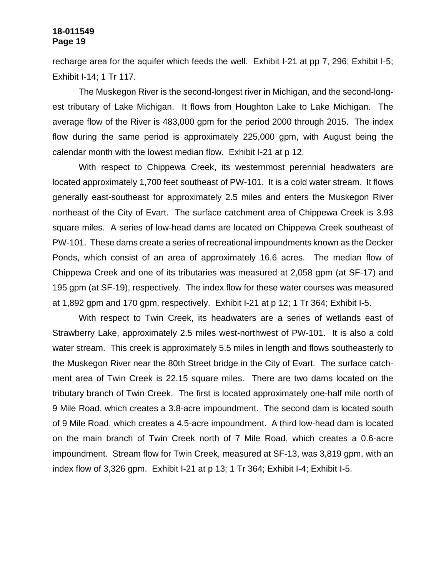recharge area for the aquifer which feeds the well. Exhibit I-21 at pp 7, 296; Exhibit I-5; Exhibit I-14; 1 Tr 117.

The Muskegon River is the second-longest river in Michigan, and the second-longest tributary of Lake Michigan. It flows from Houghton Lake to Lake Michigan. The average flow of the River is 483,000 gpm for the period 2000 through 2015. The index flow during the same period is approximately 225,000 gpm, with August being the calendar month with the lowest median flow. Exhibit I-21 at p 12.

With respect to Chippewa Creek, its westernmost perennial headwaters are located approximately 1,700 feet southeast of PW-101. It is a cold water stream. It flows generally east-southeast for approximately 2.5 miles and enters the Muskegon River northeast of the City of Evart. The surface catchment area of Chippewa Creek is 3.93 square miles. A series of low-head dams are located on Chippewa Creek southeast of PW-101. These dams create a series of recreational impoundments known as the Decker Ponds, which consist of an area of approximately 16.6 acres. The median flow of Chippewa Creek and one of its tributaries was measured at 2,058 gpm (at SF-17) and 195 gpm (at SF-19), respectively. The index flow for these water courses was measured at 1,892 gpm and 170 gpm, respectively. Exhibit I-21 at p 12; 1 Tr 364; Exhibit I-5.

With respect to Twin Creek, its headwaters are a series of wetlands east of Strawberry Lake, approximately 2.5 miles west-northwest of PW-101. It is also a cold water stream. This creek is approximately 5.5 miles in length and flows southeasterly to the Muskegon River near the 80th Street bridge in the City of Evart. The surface catchment area of Twin Creek is 22.15 square miles. There are two dams located on the tributary branch of Twin Creek. The first is located approximately one-half mile north of 9 Mile Road, which creates a 3.8-acre impoundment. The second dam is located south of 9 Mile Road, which creates a 4.5-acre impoundment. A third low-head dam is located on the main branch of Twin Creek north of 7 Mile Road, which creates a 0.6-acre impoundment. Stream flow for Twin Creek, measured at SF-13, was 3,819 gpm, with an index flow of 3,326 gpm. Exhibit I-21 at p 13; 1 Tr 364; Exhibit I-4; Exhibit I-5.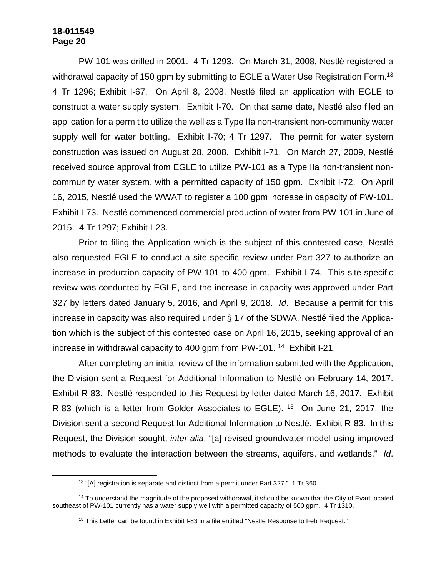PW-101 was drilled in 2001. 4 Tr 1293. On March 31, 2008, Nestlé registered a withdrawal capacity of 150 gpm by submitting to EGLE a Water Use Registration Form.<sup>13</sup> 4 Tr 1296; Exhibit I-67. On April 8, 2008, Nestlé filed an application with EGLE to construct a water supply system. Exhibit I-70. On that same date, Nestlé also filed an application for a permit to utilize the well as a Type IIa non-transient non-community water supply well for water bottling. Exhibit I-70; 4 Tr 1297. The permit for water system construction was issued on August 28, 2008. Exhibit I-71. On March 27, 2009, Nestlé received source approval from EGLE to utilize PW-101 as a Type IIa non-transient noncommunity water system, with a permitted capacity of 150 gpm. Exhibit I-72. On April 16, 2015, Nestlé used the WWAT to register a 100 gpm increase in capacity of PW-101. Exhibit I-73. Nestlé commenced commercial production of water from PW-101 in June of 2015. 4 Tr 1297; Exhibit I-23.

Prior to filing the Application which is the subject of this contested case, Nestlé also requested EGLE to conduct a site-specific review under Part 327 to authorize an increase in production capacity of PW-101 to 400 gpm. Exhibit I-74. This site-specific review was conducted by EGLE, and the increase in capacity was approved under Part 327 by letters dated January 5, 2016, and April 9, 2018. *Id*. Because a permit for this increase in capacity was also required under § 17 of the SDWA, Nestlé filed the Application which is the subject of this contested case on April 16, 2015, seeking approval of an increase in withdrawal capacity to 400 gpm from PW-101. <sup>14</sup> Exhibit I-21.

After completing an initial review of the information submitted with the Application, the Division sent a Request for Additional Information to Nestlé on February 14, 2017. Exhibit R-83. Nestlé responded to this Request by letter dated March 16, 2017. Exhibit R-83 (which is a letter from Golder Associates to EGLE). <sup>15</sup> On June 21, 2017, the Division sent a second Request for Additional Information to Nestlé. Exhibit R-83. In this Request, the Division sought, *inter alia*, "[a] revised groundwater model using improved methods to evaluate the interaction between the streams, aquifers, and wetlands." *Id*.

<sup>&</sup>lt;sup>13</sup> "[A] registration is separate and distinct from a permit under Part 327." 1 Tr 360.

<sup>&</sup>lt;sup>14</sup> To understand the magnitude of the proposed withdrawal, it should be known that the City of Evart located southeast of PW-101 currently has a water supply well with a permitted capacity of 500 gpm. 4 Tr 1310.

<sup>&</sup>lt;sup>15</sup> This Letter can be found in Exhibit I-83 in a file entitled "Nestle Response to Feb Request."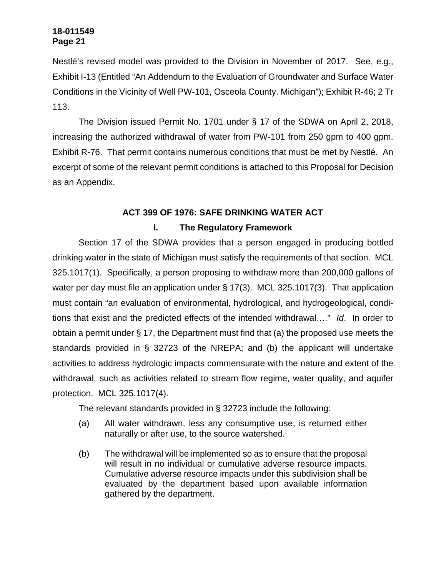Nestlé's revised model was provided to the Division in November of 2017. See, e.g., Exhibit I-13 (Entitled "An Addendum to the Evaluation of Groundwater and Surface Water Conditions in the Vicinity of Well PW-101, Osceola County. Michigan"); Exhibit R-46; 2 Tr 113.

The Division issued Permit No. 1701 under § 17 of the SDWA on April 2, 2018, increasing the authorized withdrawal of water from PW-101 from 250 gpm to 400 gpm. Exhibit R-76. That permit contains numerous conditions that must be met by Nestlé. An excerpt of some of the relevant permit conditions is attached to this Proposal for Decision as an Appendix.

# **ACT 399 OF 1976: SAFE DRINKING WATER ACT**

# **I. The Regulatory Framework**

Section 17 of the SDWA provides that a person engaged in producing bottled drinking water in the state of Michigan must satisfy the requirements of that section. MCL 325.1017(1). Specifically, a person proposing to withdraw more than 200,000 gallons of water per day must file an application under § 17(3). MCL 325.1017(3). That application must contain "an evaluation of environmental, hydrological, and hydrogeological, conditions that exist and the predicted effects of the intended withdrawal…." *Id*. In order to obtain a permit under § 17, the Department must find that (a) the proposed use meets the standards provided in § 32723 of the NREPA; and (b) the applicant will undertake activities to address hydrologic impacts commensurate with the nature and extent of the withdrawal, such as activities related to stream flow regime, water quality, and aquifer protection. MCL 325.1017(4).

The relevant standards provided in § 32723 include the following:

- (a) All water withdrawn, less any consumptive use, is returned either naturally or after use, to the source watershed.
- (b) The withdrawal will be implemented so as to ensure that the proposal will result in no individual or cumulative adverse resource impacts. Cumulative adverse resource impacts under this subdivision shall be evaluated by the department based upon available information gathered by the department.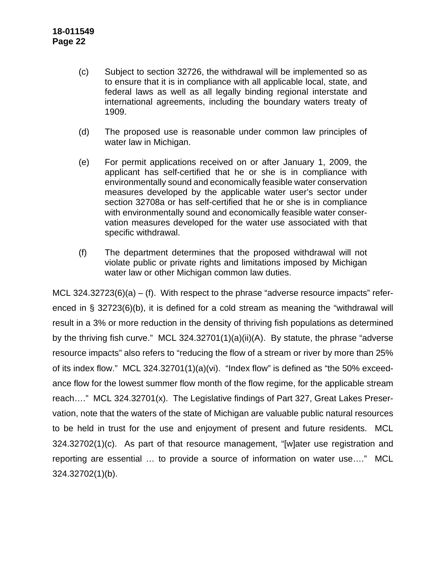- (c) Subject to section 32726, the withdrawal will be implemented so as to ensure that it is in compliance with all applicable local, state, and federal laws as well as all legally binding regional interstate and international agreements, including the boundary waters treaty of 1909.
- (d) The proposed use is reasonable under common law principles of water law in Michigan.
- (e) For permit applications received on or after January 1, 2009, the applicant has self-certified that he or she is in compliance with environmentally sound and economically feasible water conservation measures developed by the applicable water user's sector under section 32708a or has self-certified that he or she is in compliance with environmentally sound and economically feasible water conservation measures developed for the water use associated with that specific withdrawal.
- (f) The department determines that the proposed withdrawal will not violate public or private rights and limitations imposed by Michigan water law or other Michigan common law duties.

MCL 324.32723 $(6)(a) - (f)$ . With respect to the phrase "adverse resource impacts" referenced in § 32723(6)(b), it is defined for a cold stream as meaning the "withdrawal will result in a 3% or more reduction in the density of thriving fish populations as determined by the thriving fish curve." MCL 324.32701(1)(a)(ii)(A). By statute, the phrase "adverse resource impacts" also refers to "reducing the flow of a stream or river by more than 25% of its index flow." MCL 324.32701(1)(a)(vi). "Index flow" is defined as "the 50% exceedance flow for the lowest summer flow month of the flow regime, for the applicable stream reach…." MCL 324.32701(x). The Legislative findings of Part 327, Great Lakes Preservation, note that the waters of the state of Michigan are valuable public natural resources to be held in trust for the use and enjoyment of present and future residents. MCL 324.32702(1)(c). As part of that resource management, "[w]ater use registration and reporting are essential … to provide a source of information on water use…." MCL 324.32702(1)(b).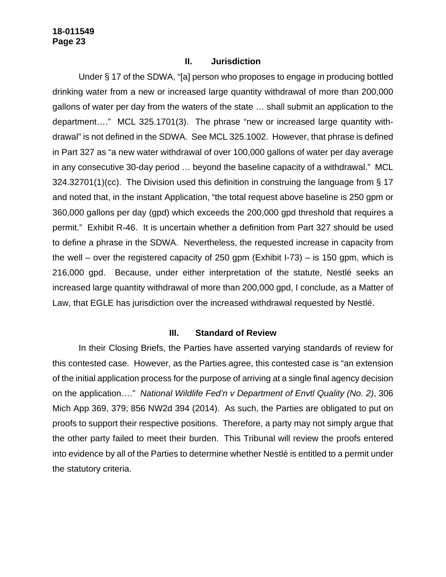#### **II. Jurisdiction**

Under § 17 of the SDWA, "[a] person who proposes to engage in producing bottled drinking water from a new or increased large quantity withdrawal of more than 200,000 gallons of water per day from the waters of the state … shall submit an application to the department…." MCL 325.1701(3). The phrase "new or increased large quantity withdrawal" is not defined in the SDWA. See MCL 325.1002. However, that phrase is defined in Part 327 as "a new water withdrawal of over 100,000 gallons of water per day average in any consecutive 30-day period … beyond the baseline capacity of a withdrawal." MCL 324.32701(1)(cc). The Division used this definition in construing the language from § 17 and noted that, in the instant Application, "the total request above baseline is 250 gpm or 360,000 gallons per day (gpd) which exceeds the 200,000 gpd threshold that requires a permit." Exhibit R-46. It is uncertain whether a definition from Part 327 should be used to define a phrase in the SDWA. Nevertheless, the requested increase in capacity from the well – over the registered capacity of 250 gpm (Exhibit I-73) – is 150 gpm, which is 216,000 gpd. Because, under either interpretation of the statute, Nestlé seeks an increased large quantity withdrawal of more than 200,000 gpd, I conclude, as a Matter of Law, that EGLE has jurisdiction over the increased withdrawal requested by Nestlé.

#### **III. Standard of Review**

In their Closing Briefs, the Parties have asserted varying standards of review for this contested case. However, as the Parties agree, this contested case is "an extension of the initial application process for the purpose of arriving at a single final agency decision on the application…." *National Wildlife Fed'n v Department of Envtl Quality (No. 2)*, 306 Mich App 369, 379; 856 NW2d 394 (2014). As such, the Parties are obligated to put on proofs to support their respective positions. Therefore, a party may not simply argue that the other party failed to meet their burden. This Tribunal will review the proofs entered into evidence by all of the Parties to determine whether Nestlé is entitled to a permit under the statutory criteria.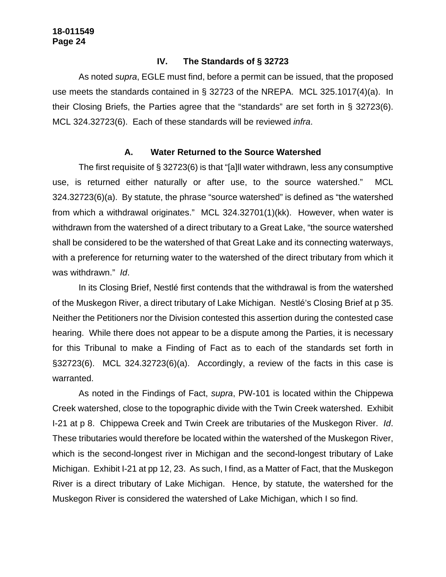#### **IV. The Standards of § 32723**

As noted *supra*, EGLE must find, before a permit can be issued, that the proposed use meets the standards contained in § 32723 of the NREPA. MCL 325.1017(4)(a). In their Closing Briefs, the Parties agree that the "standards" are set forth in § 32723(6). MCL 324.32723(6). Each of these standards will be reviewed *infra*.

### **A. Water Returned to the Source Watershed**

The first requisite of § 32723(6) is that "[a]ll water withdrawn, less any consumptive use, is returned either naturally or after use, to the source watershed." MCL 324.32723(6)(a). By statute, the phrase "source watershed" is defined as "the watershed from which a withdrawal originates." MCL 324.32701(1)(kk). However, when water is withdrawn from the watershed of a direct tributary to a Great Lake, "the source watershed shall be considered to be the watershed of that Great Lake and its connecting waterways, with a preference for returning water to the watershed of the direct tributary from which it was withdrawn." *Id*.

In its Closing Brief, Nestlé first contends that the withdrawal is from the watershed of the Muskegon River, a direct tributary of Lake Michigan. Nestlé's Closing Brief at p 35. Neither the Petitioners nor the Division contested this assertion during the contested case hearing. While there does not appear to be a dispute among the Parties, it is necessary for this Tribunal to make a Finding of Fact as to each of the standards set forth in §32723(6). MCL 324.32723(6)(a). Accordingly, a review of the facts in this case is warranted.

As noted in the Findings of Fact, *supra*, PW-101 is located within the Chippewa Creek watershed, close to the topographic divide with the Twin Creek watershed. Exhibit I-21 at p 8. Chippewa Creek and Twin Creek are tributaries of the Muskegon River. *Id*. These tributaries would therefore be located within the watershed of the Muskegon River, which is the second-longest river in Michigan and the second-longest tributary of Lake Michigan. Exhibit I-21 at pp 12, 23. As such, I find, as a Matter of Fact, that the Muskegon River is a direct tributary of Lake Michigan. Hence, by statute, the watershed for the Muskegon River is considered the watershed of Lake Michigan, which I so find.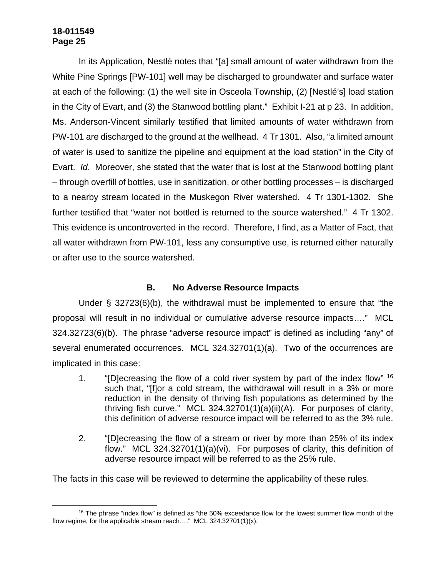In its Application, Nestlé notes that "[a] small amount of water withdrawn from the White Pine Springs [PW-101] well may be discharged to groundwater and surface water at each of the following: (1) the well site in Osceola Township, (2) [Nestlé's] load station in the City of Evart, and (3) the Stanwood bottling plant." Exhibit I-21 at p 23. In addition, Ms. Anderson-Vincent similarly testified that limited amounts of water withdrawn from PW-101 are discharged to the ground at the wellhead. 4 Tr 1301. Also, "a limited amount of water is used to sanitize the pipeline and equipment at the load station" in the City of Evart. *Id*. Moreover, she stated that the water that is lost at the Stanwood bottling plant – through overfill of bottles, use in sanitization, or other bottling processes – is discharged to a nearby stream located in the Muskegon River watershed. 4 Tr 1301-1302. She further testified that "water not bottled is returned to the source watershed." 4 Tr 1302. This evidence is uncontroverted in the record. Therefore, I find, as a Matter of Fact, that all water withdrawn from PW-101, less any consumptive use, is returned either naturally or after use to the source watershed.

# **B. No Adverse Resource Impacts**

Under § 32723(6)(b), the withdrawal must be implemented to ensure that "the proposal will result in no individual or cumulative adverse resource impacts…." MCL 324.32723(6)(b). The phrase "adverse resource impact" is defined as including "any" of several enumerated occurrences. MCL 324.32701(1)(a). Two of the occurrences are implicated in this case:

- 1. "ID increasing the flow of a cold river system by part of the index flow"  $16$ such that, "[f]or a cold stream, the withdrawal will result in a 3% or more reduction in the density of thriving fish populations as determined by the thriving fish curve." MCL 324.32701(1)(a)(ii)(A). For purposes of clarity, this definition of adverse resource impact will be referred to as the 3% rule.
- 2. "[D]ecreasing the flow of a stream or river by more than 25% of its index flow." MCL 324.32701(1)(a)(vi). For purposes of clarity, this definition of adverse resource impact will be referred to as the 25% rule.

The facts in this case will be reviewed to determine the applicability of these rules.

 $16$  The phrase "index flow" is defined as "the 50% exceedance flow for the lowest summer flow month of the flow regime, for the applicable stream reach…." MCL 324.32701(1)(x).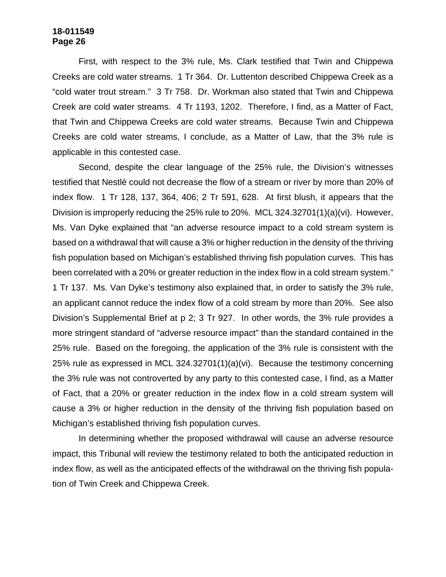First, with respect to the 3% rule, Ms. Clark testified that Twin and Chippewa Creeks are cold water streams. 1 Tr 364. Dr. Luttenton described Chippewa Creek as a "cold water trout stream." 3 Tr 758. Dr. Workman also stated that Twin and Chippewa Creek are cold water streams. 4 Tr 1193, 1202. Therefore, I find, as a Matter of Fact, that Twin and Chippewa Creeks are cold water streams. Because Twin and Chippewa Creeks are cold water streams, I conclude, as a Matter of Law, that the 3% rule is applicable in this contested case.

Second, despite the clear language of the 25% rule, the Division's witnesses testified that Nestlé could not decrease the flow of a stream or river by more than 20% of index flow. 1 Tr 128, 137, 364, 406; 2 Tr 591, 628. At first blush, it appears that the Division is improperly reducing the 25% rule to 20%. MCL 324.32701(1)(a)(vi). However, Ms. Van Dyke explained that "an adverse resource impact to a cold stream system is based on a withdrawal that will cause a 3% or higher reduction in the density of the thriving fish population based on Michigan's established thriving fish population curves. This has been correlated with a 20% or greater reduction in the index flow in a cold stream system." 1 Tr 137. Ms. Van Dyke's testimony also explained that, in order to satisfy the 3% rule, an applicant cannot reduce the index flow of a cold stream by more than 20%. See also Division's Supplemental Brief at p 2; 3 Tr 927. In other words, the 3% rule provides a more stringent standard of "adverse resource impact" than the standard contained in the 25% rule. Based on the foregoing, the application of the 3% rule is consistent with the 25% rule as expressed in MCL 324.32701(1)(a)(vi). Because the testimony concerning the 3% rule was not controverted by any party to this contested case, I find, as a Matter of Fact, that a 20% or greater reduction in the index flow in a cold stream system will cause a 3% or higher reduction in the density of the thriving fish population based on Michigan's established thriving fish population curves.

In determining whether the proposed withdrawal will cause an adverse resource impact, this Tribunal will review the testimony related to both the anticipated reduction in index flow, as well as the anticipated effects of the withdrawal on the thriving fish population of Twin Creek and Chippewa Creek.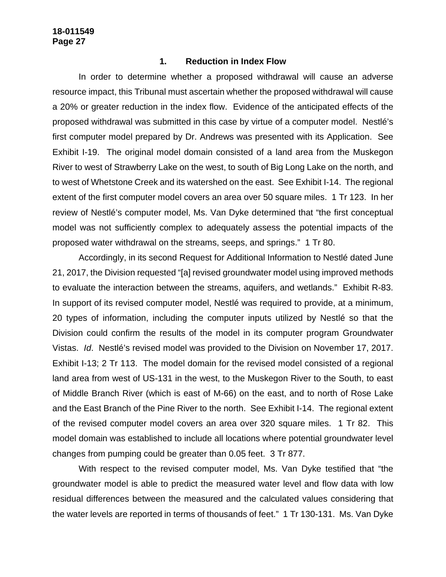#### **1. Reduction in Index Flow**

In order to determine whether a proposed withdrawal will cause an adverse resource impact, this Tribunal must ascertain whether the proposed withdrawal will cause a 20% or greater reduction in the index flow. Evidence of the anticipated effects of the proposed withdrawal was submitted in this case by virtue of a computer model. Nestlé's first computer model prepared by Dr. Andrews was presented with its Application. See Exhibit I-19. The original model domain consisted of a land area from the Muskegon River to west of Strawberry Lake on the west, to south of Big Long Lake on the north, and to west of Whetstone Creek and its watershed on the east. See Exhibit I-14. The regional extent of the first computer model covers an area over 50 square miles. 1 Tr 123. In her review of Nestlé's computer model, Ms. Van Dyke determined that "the first conceptual model was not sufficiently complex to adequately assess the potential impacts of the proposed water withdrawal on the streams, seeps, and springs." 1 Tr 80.

Accordingly, in its second Request for Additional Information to Nestlé dated June 21, 2017, the Division requested "[a] revised groundwater model using improved methods to evaluate the interaction between the streams, aquifers, and wetlands." Exhibit R-83. In support of its revised computer model, Nestlé was required to provide, at a minimum, 20 types of information, including the computer inputs utilized by Nestlé so that the Division could confirm the results of the model in its computer program Groundwater Vistas. *Id*. Nestlé's revised model was provided to the Division on November 17, 2017. Exhibit I-13; 2 Tr 113. The model domain for the revised model consisted of a regional land area from west of US-131 in the west, to the Muskegon River to the South, to east of Middle Branch River (which is east of M-66) on the east, and to north of Rose Lake and the East Branch of the Pine River to the north. See Exhibit I-14. The regional extent of the revised computer model covers an area over 320 square miles. 1 Tr 82. This model domain was established to include all locations where potential groundwater level changes from pumping could be greater than 0.05 feet. 3 Tr 877.

With respect to the revised computer model, Ms. Van Dyke testified that "the groundwater model is able to predict the measured water level and flow data with low residual differences between the measured and the calculated values considering that the water levels are reported in terms of thousands of feet." 1 Tr 130-131. Ms. Van Dyke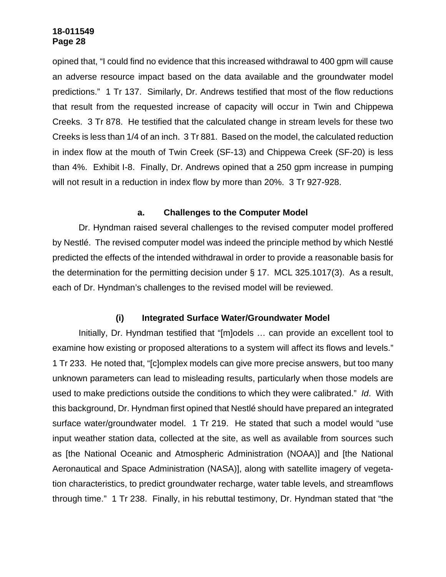opined that, "I could find no evidence that this increased withdrawal to 400 gpm will cause an adverse resource impact based on the data available and the groundwater model predictions." 1 Tr 137. Similarly, Dr. Andrews testified that most of the flow reductions that result from the requested increase of capacity will occur in Twin and Chippewa Creeks. 3 Tr 878. He testified that the calculated change in stream levels for these two Creeks is less than 1/4 of an inch. 3 Tr 881. Based on the model, the calculated reduction in index flow at the mouth of Twin Creek (SF-13) and Chippewa Creek (SF-20) is less than 4%. Exhibit I-8. Finally, Dr. Andrews opined that a 250 gpm increase in pumping will not result in a reduction in index flow by more than 20%. 3 Tr 927-928.

### **a. Challenges to the Computer Model**

Dr. Hyndman raised several challenges to the revised computer model proffered by Nestlé. The revised computer model was indeed the principle method by which Nestlé predicted the effects of the intended withdrawal in order to provide a reasonable basis for the determination for the permitting decision under § 17. MCL 325.1017(3). As a result, each of Dr. Hyndman's challenges to the revised model will be reviewed.

### **(i) Integrated Surface Water/Groundwater Model**

Initially, Dr. Hyndman testified that "[m]odels … can provide an excellent tool to examine how existing or proposed alterations to a system will affect its flows and levels." 1 Tr 233. He noted that, "[c]omplex models can give more precise answers, but too many unknown parameters can lead to misleading results, particularly when those models are used to make predictions outside the conditions to which they were calibrated." *Id*. With this background, Dr. Hyndman first opined that Nestlé should have prepared an integrated surface water/groundwater model. 1 Tr 219. He stated that such a model would "use input weather station data, collected at the site, as well as available from sources such as [the National Oceanic and Atmospheric Administration (NOAA)] and [the National Aeronautical and Space Administration (NASA)], along with satellite imagery of vegetation characteristics, to predict groundwater recharge, water table levels, and streamflows through time." 1 Tr 238. Finally, in his rebuttal testimony, Dr. Hyndman stated that "the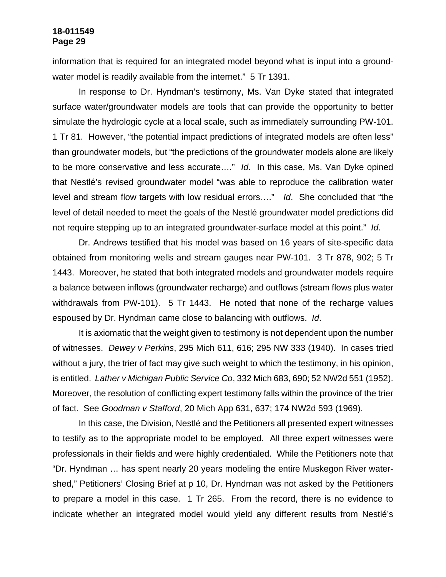information that is required for an integrated model beyond what is input into a groundwater model is readily available from the internet." 5 Tr 1391.

In response to Dr. Hyndman's testimony, Ms. Van Dyke stated that integrated surface water/groundwater models are tools that can provide the opportunity to better simulate the hydrologic cycle at a local scale, such as immediately surrounding PW-101. 1 Tr 81. However, "the potential impact predictions of integrated models are often less" than groundwater models, but "the predictions of the groundwater models alone are likely to be more conservative and less accurate…." *Id*. In this case, Ms. Van Dyke opined that Nestlé's revised groundwater model "was able to reproduce the calibration water level and stream flow targets with low residual errors…." *Id*. She concluded that "the level of detail needed to meet the goals of the Nestlé groundwater model predictions did not require stepping up to an integrated groundwater-surface model at this point." *Id*.

Dr. Andrews testified that his model was based on 16 years of site-specific data obtained from monitoring wells and stream gauges near PW-101. 3 Tr 878, 902; 5 Tr 1443. Moreover, he stated that both integrated models and groundwater models require a balance between inflows (groundwater recharge) and outflows (stream flows plus water withdrawals from PW-101). 5 Tr 1443. He noted that none of the recharge values espoused by Dr. Hyndman came close to balancing with outflows. *Id*.

It is axiomatic that the weight given to testimony is not dependent upon the number of witnesses. *Dewey v Perkins*, 295 Mich 611, 616; 295 NW 333 (1940). In cases tried without a jury, the trier of fact may give such weight to which the testimony, in his opinion, is entitled. *Lather v Michigan Public Service Co*, 332 Mich 683, 690; 52 NW2d 551 (1952). Moreover, the resolution of conflicting expert testimony falls within the province of the trier of fact. See *Goodman v Stafford*, 20 Mich App 631, 637; 174 NW2d 593 (1969).

In this case, the Division, Nestlé and the Petitioners all presented expert witnesses to testify as to the appropriate model to be employed. All three expert witnesses were professionals in their fields and were highly credentialed. While the Petitioners note that "Dr. Hyndman … has spent nearly 20 years modeling the entire Muskegon River watershed," Petitioners' Closing Brief at p 10, Dr. Hyndman was not asked by the Petitioners to prepare a model in this case. 1 Tr 265. From the record, there is no evidence to indicate whether an integrated model would yield any different results from Nestlé's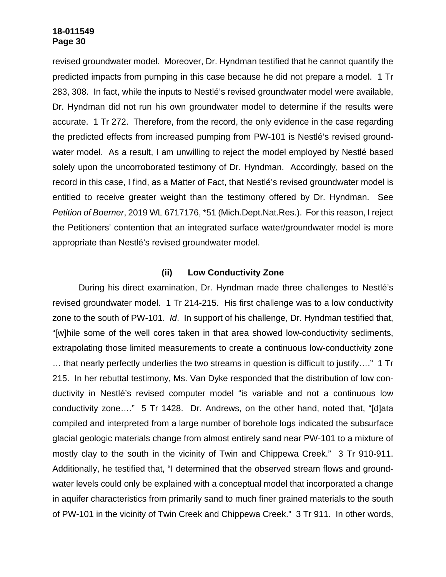revised groundwater model. Moreover, Dr. Hyndman testified that he cannot quantify the predicted impacts from pumping in this case because he did not prepare a model. 1 Tr 283, 308. In fact, while the inputs to Nestlé's revised groundwater model were available, Dr. Hyndman did not run his own groundwater model to determine if the results were accurate. 1 Tr 272. Therefore, from the record, the only evidence in the case regarding the predicted effects from increased pumping from PW-101 is Nestlé's revised groundwater model. As a result, I am unwilling to reject the model employed by Nestlé based solely upon the uncorroborated testimony of Dr. Hyndman. Accordingly, based on the record in this case, I find, as a Matter of Fact, that Nestlé's revised groundwater model is entitled to receive greater weight than the testimony offered by Dr. Hyndman. See *Petition of Boerner*, 2019 WL 6717176, \*51 (Mich.Dept.Nat.Res.). For this reason, I reject the Petitioners' contention that an integrated surface water/groundwater model is more appropriate than Nestlé's revised groundwater model.

### **(ii) Low Conductivity Zone**

During his direct examination, Dr. Hyndman made three challenges to Nestlé's revised groundwater model. 1 Tr 214-215. His first challenge was to a low conductivity zone to the south of PW-101. *Id*. In support of his challenge, Dr. Hyndman testified that, "[w]hile some of the well cores taken in that area showed low-conductivity sediments, extrapolating those limited measurements to create a continuous low-conductivity zone … that nearly perfectly underlies the two streams in question is difficult to justify…." 1 Tr 215. In her rebuttal testimony, Ms. Van Dyke responded that the distribution of low conductivity in Nestlé's revised computer model "is variable and not a continuous low conductivity zone…." 5 Tr 1428. Dr. Andrews, on the other hand, noted that, "[d]ata compiled and interpreted from a large number of borehole logs indicated the subsurface glacial geologic materials change from almost entirely sand near PW-101 to a mixture of mostly clay to the south in the vicinity of Twin and Chippewa Creek." 3 Tr 910-911. Additionally, he testified that, "I determined that the observed stream flows and groundwater levels could only be explained with a conceptual model that incorporated a change in aquifer characteristics from primarily sand to much finer grained materials to the south of PW-101 in the vicinity of Twin Creek and Chippewa Creek." 3 Tr 911. In other words,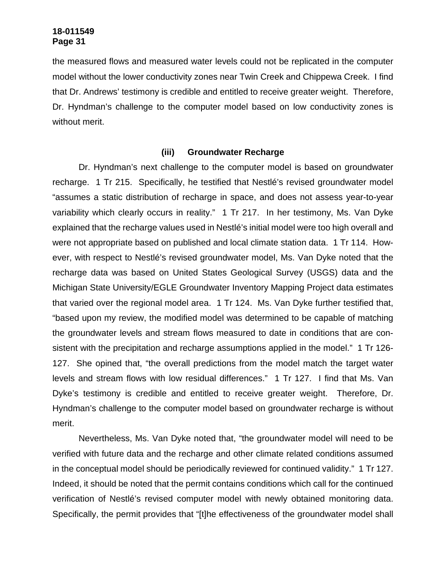the measured flows and measured water levels could not be replicated in the computer model without the lower conductivity zones near Twin Creek and Chippewa Creek. I find that Dr. Andrews' testimony is credible and entitled to receive greater weight. Therefore, Dr. Hyndman's challenge to the computer model based on low conductivity zones is without merit.

### **(iii) Groundwater Recharge**

Dr. Hyndman's next challenge to the computer model is based on groundwater recharge. 1 Tr 215. Specifically, he testified that Nestlé's revised groundwater model "assumes a static distribution of recharge in space, and does not assess year-to-year variability which clearly occurs in reality." 1 Tr 217. In her testimony, Ms. Van Dyke explained that the recharge values used in Nestlé's initial model were too high overall and were not appropriate based on published and local climate station data. 1 Tr 114. However, with respect to Nestlé's revised groundwater model, Ms. Van Dyke noted that the recharge data was based on United States Geological Survey (USGS) data and the Michigan State University/EGLE Groundwater Inventory Mapping Project data estimates that varied over the regional model area. 1 Tr 124. Ms. Van Dyke further testified that, "based upon my review, the modified model was determined to be capable of matching the groundwater levels and stream flows measured to date in conditions that are consistent with the precipitation and recharge assumptions applied in the model." 1 Tr 126-127. She opined that, "the overall predictions from the model match the target water levels and stream flows with low residual differences." 1 Tr 127. I find that Ms. Van Dyke's testimony is credible and entitled to receive greater weight. Therefore, Dr. Hyndman's challenge to the computer model based on groundwater recharge is without merit.

Nevertheless, Ms. Van Dyke noted that, "the groundwater model will need to be verified with future data and the recharge and other climate related conditions assumed in the conceptual model should be periodically reviewed for continued validity." 1 Tr 127. Indeed, it should be noted that the permit contains conditions which call for the continued verification of Nestlé's revised computer model with newly obtained monitoring data. Specifically, the permit provides that "[t]he effectiveness of the groundwater model shall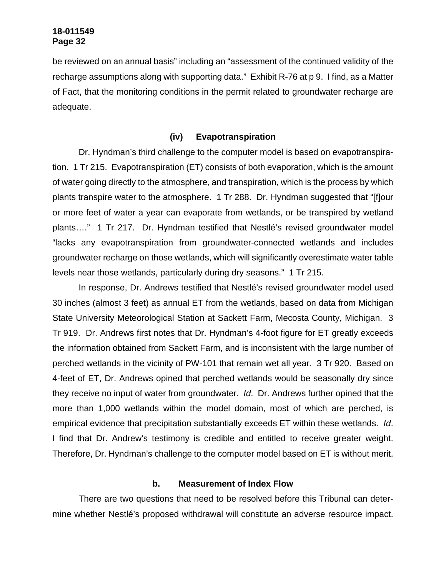be reviewed on an annual basis" including an "assessment of the continued validity of the recharge assumptions along with supporting data." Exhibit R-76 at p 9. I find, as a Matter of Fact, that the monitoring conditions in the permit related to groundwater recharge are adequate.

# **(iv) Evapotranspiration**

Dr. Hyndman's third challenge to the computer model is based on evapotranspiration. 1 Tr 215. Evapotranspiration (ET) consists of both evaporation, which is the amount of water going directly to the atmosphere, and transpiration, which is the process by which plants transpire water to the atmosphere. 1 Tr 288. Dr. Hyndman suggested that "[f]our or more feet of water a year can evaporate from wetlands, or be transpired by wetland plants…." 1 Tr 217. Dr. Hyndman testified that Nestlé's revised groundwater model "lacks any evapotranspiration from groundwater-connected wetlands and includes groundwater recharge on those wetlands, which will significantly overestimate water table levels near those wetlands, particularly during dry seasons." 1 Tr 215.

In response, Dr. Andrews testified that Nestlé's revised groundwater model used 30 inches (almost 3 feet) as annual ET from the wetlands, based on data from Michigan State University Meteorological Station at Sackett Farm, Mecosta County, Michigan. 3 Tr 919. Dr. Andrews first notes that Dr. Hyndman's 4-foot figure for ET greatly exceeds the information obtained from Sackett Farm, and is inconsistent with the large number of perched wetlands in the vicinity of PW-101 that remain wet all year. 3 Tr 920. Based on 4-feet of ET, Dr. Andrews opined that perched wetlands would be seasonally dry since they receive no input of water from groundwater. *Id*. Dr. Andrews further opined that the more than 1,000 wetlands within the model domain, most of which are perched, is empirical evidence that precipitation substantially exceeds ET within these wetlands. *Id*. I find that Dr. Andrew's testimony is credible and entitled to receive greater weight. Therefore, Dr. Hyndman's challenge to the computer model based on ET is without merit.

### **b. Measurement of Index Flow**

There are two questions that need to be resolved before this Tribunal can determine whether Nestlé's proposed withdrawal will constitute an adverse resource impact.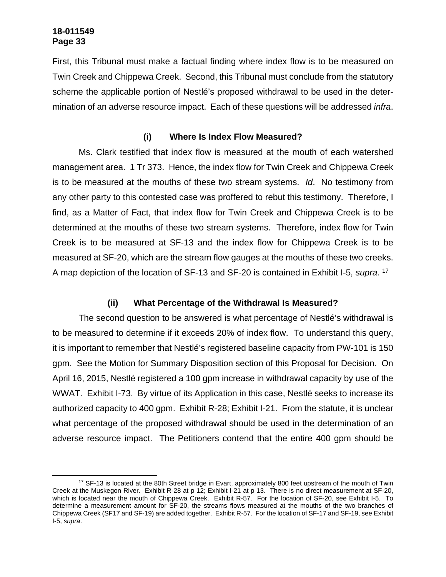First, this Tribunal must make a factual finding where index flow is to be measured on Twin Creek and Chippewa Creek. Second, this Tribunal must conclude from the statutory scheme the applicable portion of Nestlé's proposed withdrawal to be used in the determination of an adverse resource impact. Each of these questions will be addressed *infra*.

# **(i) Where Is Index Flow Measured?**

Ms. Clark testified that index flow is measured at the mouth of each watershed management area. 1 Tr 373. Hence, the index flow for Twin Creek and Chippewa Creek is to be measured at the mouths of these two stream systems. *Id*. No testimony from any other party to this contested case was proffered to rebut this testimony. Therefore, I find, as a Matter of Fact, that index flow for Twin Creek and Chippewa Creek is to be determined at the mouths of these two stream systems. Therefore, index flow for Twin Creek is to be measured at SF-13 and the index flow for Chippewa Creek is to be measured at SF-20, which are the stream flow gauges at the mouths of these two creeks. A map depiction of the location of SF-13 and SF-20 is contained in Exhibit I-5, *supra*. 17

# **(ii) What Percentage of the Withdrawal Is Measured?**

The second question to be answered is what percentage of Nestlé's withdrawal is to be measured to determine if it exceeds 20% of index flow. To understand this query, it is important to remember that Nestlé's registered baseline capacity from PW-101 is 150 gpm. See the Motion for Summary Disposition section of this Proposal for Decision. On April 16, 2015, Nestlé registered a 100 gpm increase in withdrawal capacity by use of the WWAT. Exhibit I-73. By virtue of its Application in this case, Nestlé seeks to increase its authorized capacity to 400 gpm. Exhibit R-28; Exhibit I-21. From the statute, it is unclear what percentage of the proposed withdrawal should be used in the determination of an adverse resource impact. The Petitioners contend that the entire 400 gpm should be

<sup>&</sup>lt;sup>17</sup> SF-13 is located at the 80th Street bridge in Evart, approximately 800 feet upstream of the mouth of Twin Creek at the Muskegon River. Exhibit R-28 at p 12; Exhibit I-21 at p 13. There is no direct measurement at SF-20, which is located near the mouth of Chippewa Creek. Exhibit R-57. For the location of SF-20, see Exhibit I-5. To determine a measurement amount for SF-20, the streams flows measured at the mouths of the two branches of Chippewa Creek (SF17 and SF-19) are added together. Exhibit R-57. For the location of SF-17 and SF-19, see Exhibit I-5, *supra*.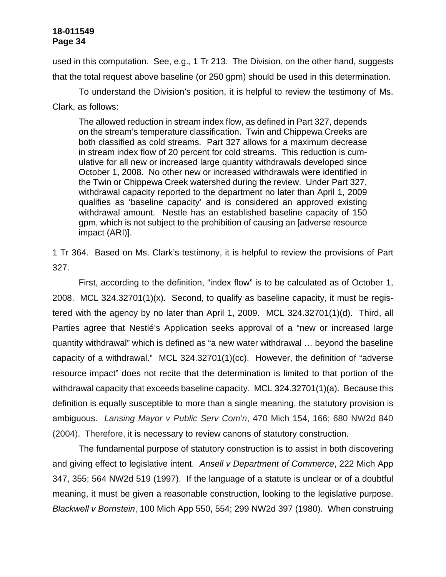used in this computation. See, e.g., 1 Tr 213. The Division, on the other hand, suggests that the total request above baseline (or 250 gpm) should be used in this determination.

To understand the Division's position, it is helpful to review the testimony of Ms. Clark, as follows:

The allowed reduction in stream index flow, as defined in Part 327, depends on the stream's temperature classification. Twin and Chippewa Creeks are both classified as cold streams. Part 327 allows for a maximum decrease in stream index flow of 20 percent for cold streams. This reduction is cumulative for all new or increased large quantity withdrawals developed since October 1, 2008. No other new or increased withdrawals were identified in the Twin or Chippewa Creek watershed during the review. Under Part 327, withdrawal capacity reported to the department no later than April 1, 2009 qualifies as 'baseline capacity' and is considered an approved existing withdrawal amount. Nestle has an established baseline capacity of 150 gpm, which is not subject to the prohibition of causing an [adverse resource impact (ARI)].

1 Tr 364. Based on Ms. Clark's testimony, it is helpful to review the provisions of Part 327.

First, according to the definition, "index flow" is to be calculated as of October 1, 2008. MCL 324.32701(1)(x). Second, to qualify as baseline capacity, it must be registered with the agency by no later than April 1, 2009. MCL 324.32701(1)(d). Third, all Parties agree that Nestlé's Application seeks approval of a "new or increased large quantity withdrawal" which is defined as "a new water withdrawal … beyond the baseline capacity of a withdrawal." MCL 324.32701(1)(cc). However, the definition of "adverse resource impact" does not recite that the determination is limited to that portion of the withdrawal capacity that exceeds baseline capacity. MCL 324.32701(1)(a). Because this definition is equally susceptible to more than a single meaning, the statutory provision is ambiguous. *Lansing Mayor v Public Serv Com'n*, 470 Mich 154, 166; 680 NW2d 840 (2004). Therefore, it is necessary to review canons of statutory construction.

The fundamental purpose of statutory construction is to assist in both discovering and giving effect to legislative intent. *Ansell v Department of Commerce*, 222 Mich App 347, 355; 564 NW2d 519 (1997). If the language of a statute is unclear or of a doubtful meaning, it must be given a reasonable construction, looking to the legislative purpose. *Blackwell v Bornstein*, 100 Mich App 550, 554; 299 NW2d 397 (1980). When construing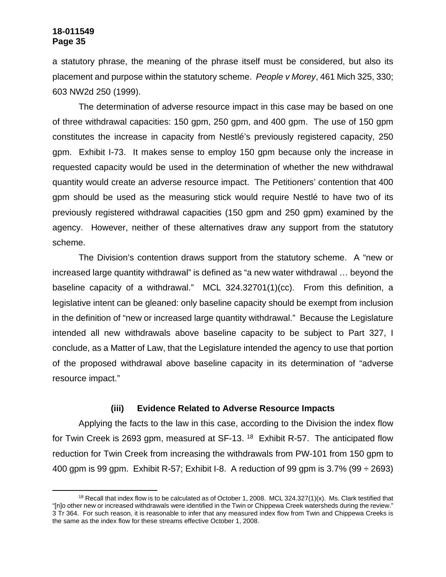a statutory phrase, the meaning of the phrase itself must be considered, but also its placement and purpose within the statutory scheme. *People v Morey*, 461 Mich 325, 330; 603 NW2d 250 (1999).

The determination of adverse resource impact in this case may be based on one of three withdrawal capacities: 150 gpm, 250 gpm, and 400 gpm. The use of 150 gpm constitutes the increase in capacity from Nestlé's previously registered capacity, 250 gpm. Exhibit I-73. It makes sense to employ 150 gpm because only the increase in requested capacity would be used in the determination of whether the new withdrawal quantity would create an adverse resource impact. The Petitioners' contention that 400 gpm should be used as the measuring stick would require Nestlé to have two of its previously registered withdrawal capacities (150 gpm and 250 gpm) examined by the agency. However, neither of these alternatives draw any support from the statutory scheme.

The Division's contention draws support from the statutory scheme. A "new or increased large quantity withdrawal" is defined as "a new water withdrawal … beyond the baseline capacity of a withdrawal." MCL 324.32701(1)(cc). From this definition, a legislative intent can be gleaned: only baseline capacity should be exempt from inclusion in the definition of "new or increased large quantity withdrawal." Because the Legislature intended all new withdrawals above baseline capacity to be subject to Part 327, I conclude, as a Matter of Law, that the Legislature intended the agency to use that portion of the proposed withdrawal above baseline capacity in its determination of "adverse resource impact."

### **(iii) Evidence Related to Adverse Resource Impacts**

Applying the facts to the law in this case, according to the Division the index flow for Twin Creek is 2693 gpm, measured at  $SF-13$ . <sup>18</sup> Exhibit R-57. The anticipated flow reduction for Twin Creek from increasing the withdrawals from PW-101 from 150 gpm to 400 gpm is 99 gpm. Exhibit R-57; Exhibit I-8. A reduction of 99 gpm is  $3.7\%$  (99  $\div$  2693)

 $18$  Recall that index flow is to be calculated as of October 1, 2008. MCL 324.327(1)(x). Ms. Clark testified that "[n]o other new or increased withdrawals were identified in the Twin or Chippewa Creek watersheds during the review." 3 Tr 364. For such reason, it is reasonable to infer that any measured index flow from Twin and Chippewa Creeks is the same as the index flow for these streams effective October 1, 2008.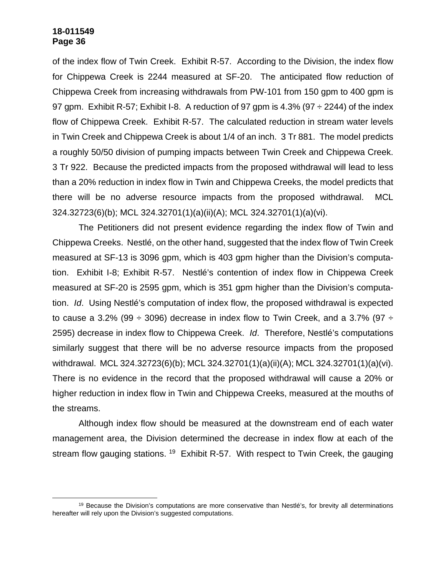of the index flow of Twin Creek. Exhibit R-57. According to the Division, the index flow for Chippewa Creek is 2244 measured at SF-20. The anticipated flow reduction of Chippewa Creek from increasing withdrawals from PW-101 from 150 gpm to 400 gpm is 97 gpm. Exhibit R-57; Exhibit I-8. A reduction of 97 gpm is  $4.3\%$  (97  $\div$  2244) of the index flow of Chippewa Creek. Exhibit R-57. The calculated reduction in stream water levels in Twin Creek and Chippewa Creek is about 1/4 of an inch. 3 Tr 881. The model predicts a roughly 50/50 division of pumping impacts between Twin Creek and Chippewa Creek. 3 Tr 922. Because the predicted impacts from the proposed withdrawal will lead to less than a 20% reduction in index flow in Twin and Chippewa Creeks, the model predicts that there will be no adverse resource impacts from the proposed withdrawal. MCL 324.32723(6)(b); MCL 324.32701(1)(a)(ii)(A); MCL 324.32701(1)(a)(vi).

The Petitioners did not present evidence regarding the index flow of Twin and Chippewa Creeks. Nestlé, on the other hand, suggested that the index flow of Twin Creek measured at SF-13 is 3096 gpm, which is 403 gpm higher than the Division's computation. Exhibit I-8; Exhibit R-57. Nestlé's contention of index flow in Chippewa Creek measured at SF-20 is 2595 gpm, which is 351 gpm higher than the Division's computation. *Id*. Using Nestlé's computation of index flow, the proposed withdrawal is expected to cause a 3.2% (99  $\div$  3096) decrease in index flow to Twin Creek, and a 3.7% (97  $\div$ 2595) decrease in index flow to Chippewa Creek. *Id*. Therefore, Nestlé's computations similarly suggest that there will be no adverse resource impacts from the proposed withdrawal. MCL 324.32723(6)(b); MCL 324.32701(1)(a)(ii)(A); MCL 324.32701(1)(a)(vi). There is no evidence in the record that the proposed withdrawal will cause a 20% or higher reduction in index flow in Twin and Chippewa Creeks, measured at the mouths of the streams.

Although index flow should be measured at the downstream end of each water management area, the Division determined the decrease in index flow at each of the stream flow gauging stations. <sup>19</sup> Exhibit R-57. With respect to Twin Creek, the gauging

 $19$  Because the Division's computations are more conservative than Nestlé's, for brevity all determinations hereafter will rely upon the Division's suggested computations.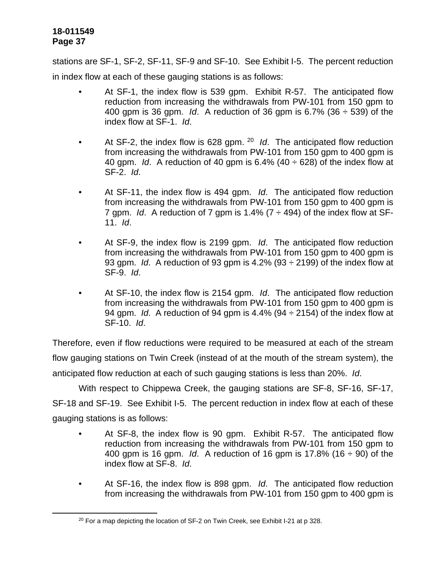stations are SF-1, SF-2, SF-11, SF-9 and SF-10. See Exhibit I-5. The percent reduction in index flow at each of these gauging stations is as follows:

- At SF-1, the index flow is 539 gpm. Exhibit R-57. The anticipated flow reduction from increasing the withdrawals from PW-101 from 150 gpm to 400 gpm is 36 gpm. *Id*. A reduction of 36 gpm is 6.7% (36 ÷ 539) of the index flow at SF-1. *Id*.
- At SF-2, the index flow is 628 gpm. <sup>20</sup> *Id*. The anticipated flow reduction from increasing the withdrawals from PW-101 from 150 gpm to 400 gpm is 40 gpm. *Id*. A reduction of 40 gpm is 6.4% (40 ÷ 628) of the index flow at SF-2. *Id*.
- At SF-11, the index flow is 494 gpm. *Id*. The anticipated flow reduction from increasing the withdrawals from PW-101 from 150 gpm to 400 gpm is 7 gpm. *Id.* A reduction of 7 gpm is 1.4%  $(7 \div 494)$  of the index flow at SF-11. *Id*.
- At SF-9, the index flow is 2199 gpm. *Id*. The anticipated flow reduction from increasing the withdrawals from PW-101 from 150 gpm to 400 gpm is 93 gpm. *Id*. A reduction of 93 gpm is 4.2% (93 ÷ 2199) of the index flow at SF-9. *Id*.
- At SF-10, the index flow is 2154 gpm. *Id*. The anticipated flow reduction from increasing the withdrawals from PW-101 from 150 gpm to 400 gpm is 94 gpm. *Id*. A reduction of 94 gpm is 4.4% (94 ÷ 2154) of the index flow at SF-10. *Id*.

Therefore, even if flow reductions were required to be measured at each of the stream flow gauging stations on Twin Creek (instead of at the mouth of the stream system), the anticipated flow reduction at each of such gauging stations is less than 20%. *Id*.

With respect to Chippewa Creek, the gauging stations are SF-8, SF-16, SF-17, SF-18 and SF-19. See Exhibit I-5. The percent reduction in index flow at each of these gauging stations is as follows:

- At SF-8, the index flow is 90 gpm. Exhibit R-57. The anticipated flow reduction from increasing the withdrawals from PW-101 from 150 gpm to 400 gpm is 16 gpm. *Id*. A reduction of 16 gpm is 17.8% (16 ÷ 90) of the index flow at SF-8. *Id*.
- At SF-16, the index flow is 898 gpm. *Id*. The anticipated flow reduction from increasing the withdrawals from PW-101 from 150 gpm to 400 gpm is

<sup>&</sup>lt;sup>20</sup> For a map depicting the location of SF-2 on Twin Creek, see Exhibit I-21 at p 328.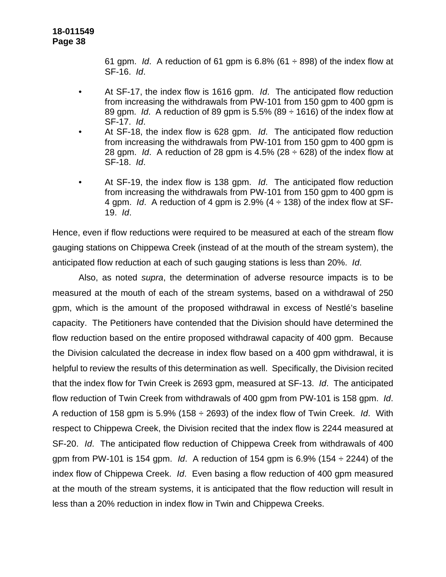61 gpm. *Id.* A reduction of 61 gpm is  $6.8\%$  (61  $\div$  898) of the index flow at SF-16. *Id*.

- At SF-17, the index flow is 1616 gpm. *Id*. The anticipated flow reduction from increasing the withdrawals from PW-101 from 150 gpm to 400 gpm is 89 gpm. *Id*. A reduction of 89 gpm is 5.5% (89 ÷ 1616) of the index flow at SF-17. *Id*.
- At SF-18, the index flow is 628 gpm. *Id*. The anticipated flow reduction from increasing the withdrawals from PW-101 from 150 gpm to 400 gpm is 28 gpm. *Id.* A reduction of 28 gpm is  $4.5\%$  (28  $\div$  628) of the index flow at SF-18. *Id*.
- At SF-19, the index flow is 138 gpm. *Id*. The anticipated flow reduction from increasing the withdrawals from PW-101 from 150 gpm to 400 gpm is 4 gpm. *Id*. A reduction of 4 gpm is 2.9% (4 ÷ 138) of the index flow at SF-19. *Id*.

Hence, even if flow reductions were required to be measured at each of the stream flow gauging stations on Chippewa Creek (instead of at the mouth of the stream system), the anticipated flow reduction at each of such gauging stations is less than 20%. *Id*.

Also, as noted *supra*, the determination of adverse resource impacts is to be measured at the mouth of each of the stream systems, based on a withdrawal of 250 gpm, which is the amount of the proposed withdrawal in excess of Nestlé's baseline capacity. The Petitioners have contended that the Division should have determined the flow reduction based on the entire proposed withdrawal capacity of 400 gpm. Because the Division calculated the decrease in index flow based on a 400 gpm withdrawal, it is helpful to review the results of this determination as well. Specifically, the Division recited that the index flow for Twin Creek is 2693 gpm, measured at SF-13. *Id*. The anticipated flow reduction of Twin Creek from withdrawals of 400 gpm from PW-101 is 158 gpm. *Id*. A reduction of 158 gpm is 5.9% (158 ÷ 2693) of the index flow of Twin Creek. *Id*. With respect to Chippewa Creek, the Division recited that the index flow is 2244 measured at SF-20. *Id*. The anticipated flow reduction of Chippewa Creek from withdrawals of 400 gpm from PW-101 is 154 gpm. *Id*. A reduction of 154 gpm is 6.9% (154 ÷ 2244) of the index flow of Chippewa Creek. *Id*. Even basing a flow reduction of 400 gpm measured at the mouth of the stream systems, it is anticipated that the flow reduction will result in less than a 20% reduction in index flow in Twin and Chippewa Creeks.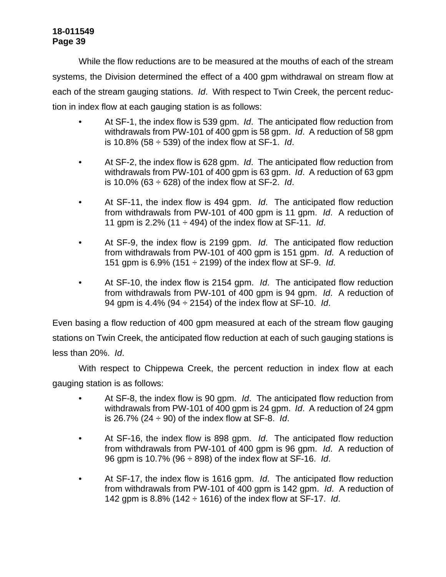While the flow reductions are to be measured at the mouths of each of the stream systems, the Division determined the effect of a 400 gpm withdrawal on stream flow at each of the stream gauging stations. *Id*. With respect to Twin Creek, the percent reduction in index flow at each gauging station is as follows:

- At SF-1, the index flow is 539 gpm. *Id*. The anticipated flow reduction from withdrawals from PW-101 of 400 gpm is 58 gpm. *Id*. A reduction of 58 gpm is 10.8% (58 ÷ 539) of the index flow at SF-1. *Id*.
- At SF-2, the index flow is 628 gpm. *Id*. The anticipated flow reduction from withdrawals from PW-101 of 400 gpm is 63 gpm. *Id*. A reduction of 63 gpm is 10.0% (63 ÷ 628) of the index flow at SF-2. *Id*.
- At SF-11, the index flow is 494 gpm. *Id*. The anticipated flow reduction from withdrawals from PW-101 of 400 gpm is 11 gpm. *Id*. A reduction of 11 gpm is 2.2% (11 ÷ 494) of the index flow at SF-11. *Id*.
- At SF-9, the index flow is 2199 gpm. *Id*. The anticipated flow reduction from withdrawals from PW-101 of 400 gpm is 151 gpm. *Id*. A reduction of 151 gpm is 6.9% (151 ÷ 2199) of the index flow at SF-9. *Id*.
- At SF-10, the index flow is 2154 gpm. *Id*. The anticipated flow reduction from withdrawals from PW-101 of 400 gpm is 94 gpm. *Id*. A reduction of 94 gpm is 4.4% (94 ÷ 2154) of the index flow at SF-10. *Id*.

Even basing a flow reduction of 400 gpm measured at each of the stream flow gauging stations on Twin Creek, the anticipated flow reduction at each of such gauging stations is less than 20%. *Id*.

With respect to Chippewa Creek, the percent reduction in index flow at each gauging station is as follows:

- At SF-8, the index flow is 90 gpm. *Id*. The anticipated flow reduction from withdrawals from PW-101 of 400 gpm is 24 gpm. *Id*. A reduction of 24 gpm is 26.7% (24 ÷ 90) of the index flow at SF-8. *Id*.
- At SF-16, the index flow is 898 gpm. *Id*. The anticipated flow reduction from withdrawals from PW-101 of 400 gpm is 96 gpm. *Id*. A reduction of 96 gpm is 10.7% (96 ÷ 898) of the index flow at SF-16. *Id*.
- At SF-17, the index flow is 1616 gpm. *Id*. The anticipated flow reduction from withdrawals from PW-101 of 400 gpm is 142 gpm. *Id*. A reduction of 142 gpm is 8.8% (142 ÷ 1616) of the index flow at SF-17. *Id*.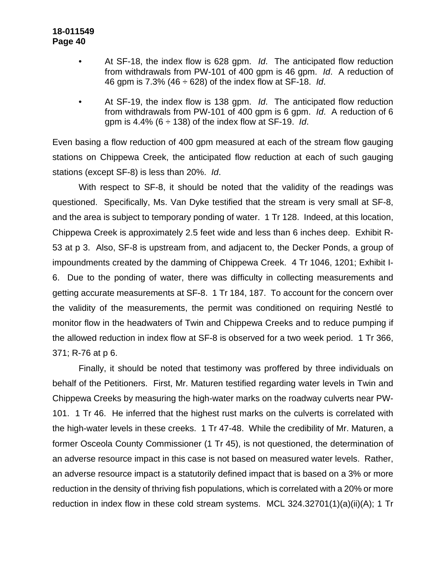- At SF-18, the index flow is 628 gpm. *Id*. The anticipated flow reduction from withdrawals from PW-101 of 400 gpm is 46 gpm. *Id*. A reduction of 46 gpm is 7.3% (46 ÷ 628) of the index flow at SF-18. *Id*.
- At SF-19, the index flow is 138 gpm. *Id*. The anticipated flow reduction from withdrawals from PW-101 of 400 gpm is 6 gpm. *Id*. A reduction of 6 gpm is 4.4% (6 ÷ 138) of the index flow at SF-19. *Id*.

Even basing a flow reduction of 400 gpm measured at each of the stream flow gauging stations on Chippewa Creek, the anticipated flow reduction at each of such gauging stations (except SF-8) is less than 20%. *Id*.

With respect to SF-8, it should be noted that the validity of the readings was questioned. Specifically, Ms. Van Dyke testified that the stream is very small at SF-8, and the area is subject to temporary ponding of water. 1 Tr 128. Indeed, at this location, Chippewa Creek is approximately 2.5 feet wide and less than 6 inches deep. Exhibit R-53 at p 3. Also, SF-8 is upstream from, and adjacent to, the Decker Ponds, a group of impoundments created by the damming of Chippewa Creek. 4 Tr 1046, 1201; Exhibit I-6. Due to the ponding of water, there was difficulty in collecting measurements and getting accurate measurements at SF-8. 1 Tr 184, 187. To account for the concern over the validity of the measurements, the permit was conditioned on requiring Nestlé to monitor flow in the headwaters of Twin and Chippewa Creeks and to reduce pumping if the allowed reduction in index flow at SF-8 is observed for a two week period. 1 Tr 366, 371; R-76 at p 6.

Finally, it should be noted that testimony was proffered by three individuals on behalf of the Petitioners. First, Mr. Maturen testified regarding water levels in Twin and Chippewa Creeks by measuring the high-water marks on the roadway culverts near PW-101. 1 Tr 46. He inferred that the highest rust marks on the culverts is correlated with the high-water levels in these creeks. 1 Tr 47-48. While the credibility of Mr. Maturen, a former Osceola County Commissioner (1 Tr 45), is not questioned, the determination of an adverse resource impact in this case is not based on measured water levels. Rather, an adverse resource impact is a statutorily defined impact that is based on a 3% or more reduction in the density of thriving fish populations, which is correlated with a 20% or more reduction in index flow in these cold stream systems. MCL 324.32701(1)(a)(ii)(A); 1 Tr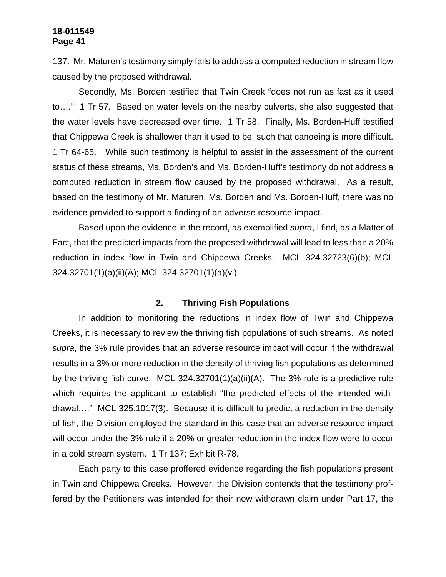137. Mr. Maturen's testimony simply fails to address a computed reduction in stream flow caused by the proposed withdrawal.

Secondly, Ms. Borden testified that Twin Creek "does not run as fast as it used to…." 1 Tr 57. Based on water levels on the nearby culverts, she also suggested that the water levels have decreased over time. 1 Tr 58. Finally, Ms. Borden-Huff testified that Chippewa Creek is shallower than it used to be, such that canoeing is more difficult. 1 Tr 64-65. While such testimony is helpful to assist in the assessment of the current status of these streams, Ms. Borden's and Ms. Borden-Huff's testimony do not address a computed reduction in stream flow caused by the proposed withdrawal. As a result, based on the testimony of Mr. Maturen, Ms. Borden and Ms. Borden-Huff, there was no evidence provided to support a finding of an adverse resource impact.

Based upon the evidence in the record, as exemplified *supra*, I find, as a Matter of Fact, that the predicted impacts from the proposed withdrawal will lead to less than a 20% reduction in index flow in Twin and Chippewa Creeks. MCL 324.32723(6)(b); MCL 324.32701(1)(a)(ii)(A); MCL 324.32701(1)(a)(vi).

### **2. Thriving Fish Populations**

In addition to monitoring the reductions in index flow of Twin and Chippewa Creeks, it is necessary to review the thriving fish populations of such streams. As noted *supra*, the 3% rule provides that an adverse resource impact will occur if the withdrawal results in a 3% or more reduction in the density of thriving fish populations as determined by the thriving fish curve. MCL 324.32701(1)(a)(ii)(A). The 3% rule is a predictive rule which requires the applicant to establish "the predicted effects of the intended withdrawal…." MCL 325.1017(3). Because it is difficult to predict a reduction in the density of fish, the Division employed the standard in this case that an adverse resource impact will occur under the 3% rule if a 20% or greater reduction in the index flow were to occur in a cold stream system. 1 Tr 137; Exhibit R-78.

Each party to this case proffered evidence regarding the fish populations present in Twin and Chippewa Creeks. However, the Division contends that the testimony proffered by the Petitioners was intended for their now withdrawn claim under Part 17, the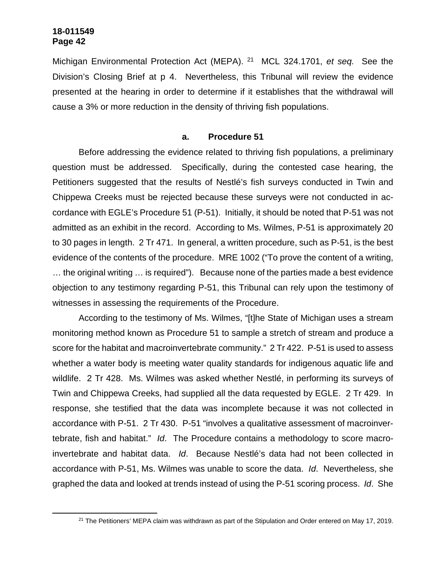Michigan Environmental Protection Act (MEPA). <sup>21</sup> MCL 324.1701, *et seq.* See the Division's Closing Brief at p 4. Nevertheless, this Tribunal will review the evidence presented at the hearing in order to determine if it establishes that the withdrawal will cause a 3% or more reduction in the density of thriving fish populations.

#### **a. Procedure 51**

Before addressing the evidence related to thriving fish populations, a preliminary question must be addressed. Specifically, during the contested case hearing, the Petitioners suggested that the results of Nestlé's fish surveys conducted in Twin and Chippewa Creeks must be rejected because these surveys were not conducted in accordance with EGLE's Procedure 51 (P-51). Initially, it should be noted that P-51 was not admitted as an exhibit in the record. According to Ms. Wilmes, P-51 is approximately 20 to 30 pages in length. 2 Tr 471. In general, a written procedure, such as P-51, is the best evidence of the contents of the procedure. MRE 1002 ("To prove the content of a writing, … the original writing … is required"). Because none of the parties made a best evidence objection to any testimony regarding P-51, this Tribunal can rely upon the testimony of witnesses in assessing the requirements of the Procedure.

According to the testimony of Ms. Wilmes, "[t]he State of Michigan uses a stream monitoring method known as Procedure 51 to sample a stretch of stream and produce a score for the habitat and macroinvertebrate community." 2 Tr 422. P-51 is used to assess whether a water body is meeting water quality standards for indigenous aquatic life and wildlife. 2 Tr 428. Ms. Wilmes was asked whether Nestlé, in performing its surveys of Twin and Chippewa Creeks, had supplied all the data requested by EGLE. 2 Tr 429. In response, she testified that the data was incomplete because it was not collected in accordance with P-51. 2 Tr 430. P-51 "involves a qualitative assessment of macroinvertebrate, fish and habitat." *Id*. The Procedure contains a methodology to score macroinvertebrate and habitat data. *Id*. Because Nestlé's data had not been collected in accordance with P-51, Ms. Wilmes was unable to score the data. *Id*. Nevertheless, she graphed the data and looked at trends instead of using the P-51 scoring process. *Id*. She

<sup>&</sup>lt;sup>21</sup> The Petitioners' MEPA claim was withdrawn as part of the Stipulation and Order entered on May 17, 2019.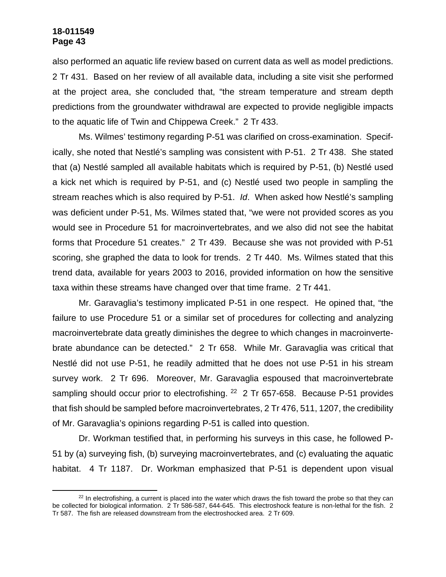also performed an aquatic life review based on current data as well as model predictions. 2 Tr 431. Based on her review of all available data, including a site visit she performed at the project area, she concluded that, "the stream temperature and stream depth predictions from the groundwater withdrawal are expected to provide negligible impacts to the aquatic life of Twin and Chippewa Creek." 2 Tr 433.

Ms. Wilmes' testimony regarding P-51 was clarified on cross-examination. Specifically, she noted that Nestlé's sampling was consistent with P-51. 2 Tr 438. She stated that (a) Nestlé sampled all available habitats which is required by P-51, (b) Nestlé used a kick net which is required by P-51, and (c) Nestlé used two people in sampling the stream reaches which is also required by P-51. *Id*. When asked how Nestlé's sampling was deficient under P-51, Ms. Wilmes stated that, "we were not provided scores as you would see in Procedure 51 for macroinvertebrates, and we also did not see the habitat forms that Procedure 51 creates." 2 Tr 439. Because she was not provided with P-51 scoring, she graphed the data to look for trends. 2 Tr 440. Ms. Wilmes stated that this trend data, available for years 2003 to 2016, provided information on how the sensitive taxa within these streams have changed over that time frame. 2 Tr 441.

Mr. Garavaglia's testimony implicated P-51 in one respect. He opined that, "the failure to use Procedure 51 or a similar set of procedures for collecting and analyzing macroinvertebrate data greatly diminishes the degree to which changes in macroinvertebrate abundance can be detected." 2 Tr 658. While Mr. Garavaglia was critical that Nestlé did not use P-51, he readily admitted that he does not use P-51 in his stream survey work. 2 Tr 696. Moreover, Mr. Garavaglia espoused that macroinvertebrate sampling should occur prior to electrofishing.  $22$  2 Tr 657-658. Because P-51 provides that fish should be sampled before macroinvertebrates, 2 Tr 476, 511, 1207, the credibility of Mr. Garavaglia's opinions regarding P-51 is called into question.

Dr. Workman testified that, in performing his surveys in this case, he followed P-51 by (a) surveying fish, (b) surveying macroinvertebrates, and (c) evaluating the aquatic habitat. 4 Tr 1187. Dr. Workman emphasized that P-51 is dependent upon visual

 $22$  In electrofishing, a current is placed into the water which draws the fish toward the probe so that they can be collected for biological information. 2 Tr 586-587, 644-645. This electroshock feature is non-lethal for the fish. 2 Tr 587. The fish are released downstream from the electroshocked area. 2 Tr 609.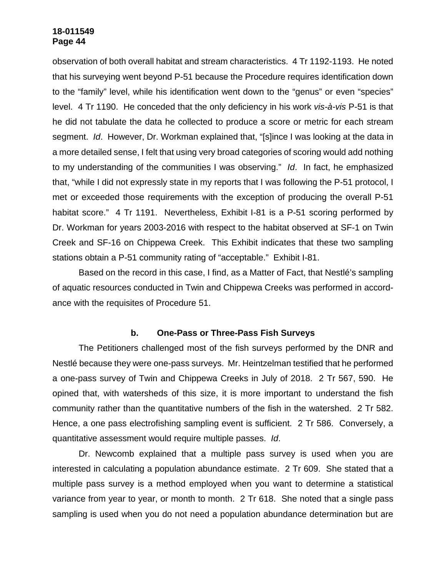observation of both overall habitat and stream characteristics. 4 Tr 1192-1193. He noted that his surveying went beyond P-51 because the Procedure requires identification down to the "family" level, while his identification went down to the "genus" or even "species" level. 4 Tr 1190. He conceded that the only deficiency in his work *vis-à-vis* P-51 is that he did not tabulate the data he collected to produce a score or metric for each stream segment. *Id*. However, Dr. Workman explained that, "[s]ince I was looking at the data in a more detailed sense, I felt that using very broad categories of scoring would add nothing to my understanding of the communities I was observing." *Id*. In fact, he emphasized that, "while I did not expressly state in my reports that I was following the P-51 protocol, I met or exceeded those requirements with the exception of producing the overall P-51 habitat score." 4 Tr 1191. Nevertheless, Exhibit I-81 is a P-51 scoring performed by Dr. Workman for years 2003-2016 with respect to the habitat observed at SF-1 on Twin Creek and SF-16 on Chippewa Creek. This Exhibit indicates that these two sampling stations obtain a P-51 community rating of "acceptable." Exhibit I-81.

Based on the record in this case, I find, as a Matter of Fact, that Nestlé's sampling of aquatic resources conducted in Twin and Chippewa Creeks was performed in accordance with the requisites of Procedure 51.

### **b. One-Pass or Three-Pass Fish Surveys**

The Petitioners challenged most of the fish surveys performed by the DNR and Nestlé because they were one-pass surveys. Mr. Heintzelman testified that he performed a one-pass survey of Twin and Chippewa Creeks in July of 2018. 2 Tr 567, 590. He opined that, with watersheds of this size, it is more important to understand the fish community rather than the quantitative numbers of the fish in the watershed. 2 Tr 582. Hence, a one pass electrofishing sampling event is sufficient. 2 Tr 586. Conversely, a quantitative assessment would require multiple passes. *Id*.

Dr. Newcomb explained that a multiple pass survey is used when you are interested in calculating a population abundance estimate. 2 Tr 609. She stated that a multiple pass survey is a method employed when you want to determine a statistical variance from year to year, or month to month. 2 Tr 618. She noted that a single pass sampling is used when you do not need a population abundance determination but are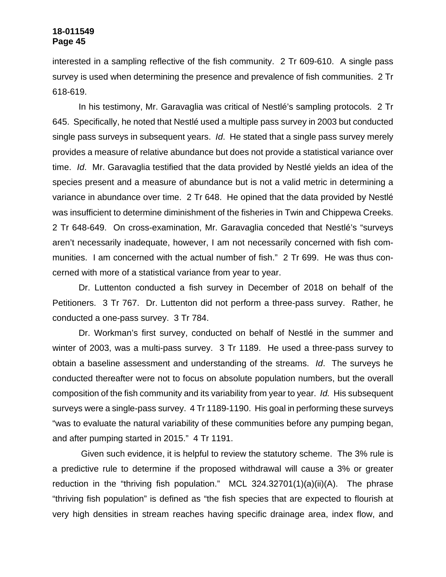interested in a sampling reflective of the fish community. 2 Tr 609-610. A single pass survey is used when determining the presence and prevalence of fish communities. 2 Tr 618-619.

In his testimony, Mr. Garavaglia was critical of Nestlé's sampling protocols. 2 Tr 645. Specifically, he noted that Nestlé used a multiple pass survey in 2003 but conducted single pass surveys in subsequent years. *Id*. He stated that a single pass survey merely provides a measure of relative abundance but does not provide a statistical variance over time. *Id*. Mr. Garavaglia testified that the data provided by Nestlé yields an idea of the species present and a measure of abundance but is not a valid metric in determining a variance in abundance over time. 2 Tr 648. He opined that the data provided by Nestlé was insufficient to determine diminishment of the fisheries in Twin and Chippewa Creeks. 2 Tr 648-649. On cross-examination, Mr. Garavaglia conceded that Nestlé's "surveys aren't necessarily inadequate, however, I am not necessarily concerned with fish communities. I am concerned with the actual number of fish." 2 Tr 699. He was thus concerned with more of a statistical variance from year to year.

Dr. Luttenton conducted a fish survey in December of 2018 on behalf of the Petitioners. 3 Tr 767. Dr. Luttenton did not perform a three-pass survey. Rather, he conducted a one-pass survey. 3 Tr 784.

Dr. Workman's first survey, conducted on behalf of Nestlé in the summer and winter of 2003, was a multi-pass survey. 3 Tr 1189. He used a three-pass survey to obtain a baseline assessment and understanding of the streams. *Id*. The surveys he conducted thereafter were not to focus on absolute population numbers, but the overall composition of the fish community and its variability from year to year. *Id.* His subsequent surveys were a single-pass survey. 4 Tr 1189-1190. His goal in performing these surveys "was to evaluate the natural variability of these communities before any pumping began, and after pumping started in 2015." 4 Tr 1191.

 Given such evidence, it is helpful to review the statutory scheme. The 3% rule is a predictive rule to determine if the proposed withdrawal will cause a 3% or greater reduction in the "thriving fish population." MCL 324.32701(1)(a)(ii)(A). The phrase "thriving fish population" is defined as "the fish species that are expected to flourish at very high densities in stream reaches having specific drainage area, index flow, and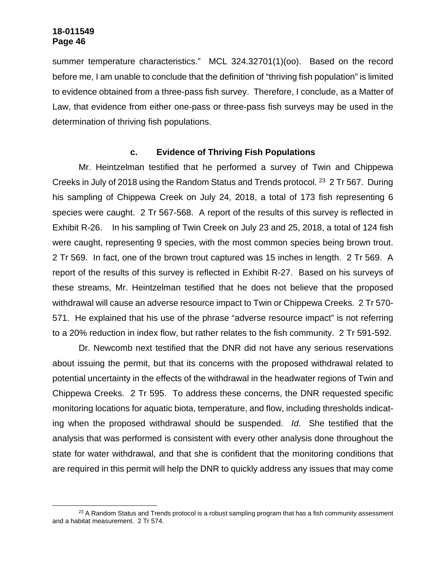summer temperature characteristics." MCL 324.32701(1)(oo). Based on the record before me, I am unable to conclude that the definition of "thriving fish population" is limited to evidence obtained from a three-pass fish survey. Therefore, I conclude, as a Matter of Law, that evidence from either one-pass or three-pass fish surveys may be used in the determination of thriving fish populations.

### **c. Evidence of Thriving Fish Populations**

Mr. Heintzelman testified that he performed a survey of Twin and Chippewa Creeks in July of 2018 using the Random Status and Trends protocol. <sup>23</sup> 2 Tr 567. During his sampling of Chippewa Creek on July 24, 2018, a total of 173 fish representing 6 species were caught. 2 Tr 567-568. A report of the results of this survey is reflected in Exhibit R-26. In his sampling of Twin Creek on July 23 and 25, 2018, a total of 124 fish were caught, representing 9 species, with the most common species being brown trout. 2 Tr 569. In fact, one of the brown trout captured was 15 inches in length. 2 Tr 569. A report of the results of this survey is reflected in Exhibit R-27. Based on his surveys of these streams, Mr. Heintzelman testified that he does not believe that the proposed withdrawal will cause an adverse resource impact to Twin or Chippewa Creeks. 2 Tr 570- 571. He explained that his use of the phrase "adverse resource impact" is not referring to a 20% reduction in index flow, but rather relates to the fish community. 2 Tr 591-592.

Dr. Newcomb next testified that the DNR did not have any serious reservations about issuing the permit, but that its concerns with the proposed withdrawal related to potential uncertainty in the effects of the withdrawal in the headwater regions of Twin and Chippewa Creeks. 2 Tr 595. To address these concerns, the DNR requested specific monitoring locations for aquatic biota, temperature, and flow, including thresholds indicating when the proposed withdrawal should be suspended. *Id*. She testified that the analysis that was performed is consistent with every other analysis done throughout the state for water withdrawal, and that she is confident that the monitoring conditions that are required in this permit will help the DNR to quickly address any issues that may come

 $23$  A Random Status and Trends protocol is a robust sampling program that has a fish community assessment and a habitat measurement. 2 Tr 574.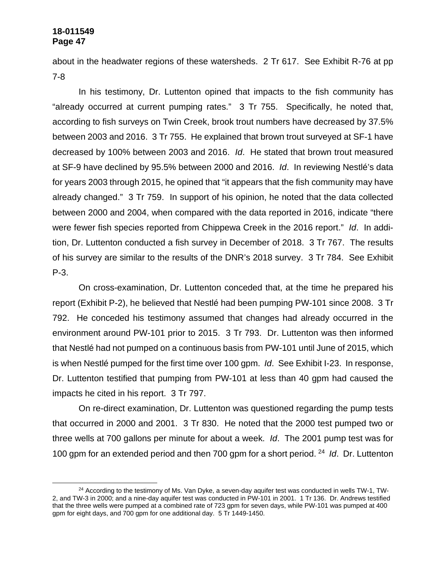about in the headwater regions of these watersheds. 2 Tr 617. See Exhibit R-76 at pp 7-8

In his testimony, Dr. Luttenton opined that impacts to the fish community has "already occurred at current pumping rates." 3 Tr 755. Specifically, he noted that, according to fish surveys on Twin Creek, brook trout numbers have decreased by 37.5% between 2003 and 2016. 3 Tr 755. He explained that brown trout surveyed at SF-1 have decreased by 100% between 2003 and 2016. *Id*. He stated that brown trout measured at SF-9 have declined by 95.5% between 2000 and 2016. *Id*. In reviewing Nestlé's data for years 2003 through 2015, he opined that "it appears that the fish community may have already changed." 3 Tr 759. In support of his opinion, he noted that the data collected between 2000 and 2004, when compared with the data reported in 2016, indicate "there were fewer fish species reported from Chippewa Creek in the 2016 report." *Id*. In addition, Dr. Luttenton conducted a fish survey in December of 2018. 3 Tr 767. The results of his survey are similar to the results of the DNR's 2018 survey. 3 Tr 784. See Exhibit P-3.

On cross-examination, Dr. Luttenton conceded that, at the time he prepared his report (Exhibit P-2), he believed that Nestlé had been pumping PW-101 since 2008. 3 Tr 792. He conceded his testimony assumed that changes had already occurred in the environment around PW-101 prior to 2015. 3 Tr 793. Dr. Luttenton was then informed that Nestlé had not pumped on a continuous basis from PW-101 until June of 2015, which is when Nestlé pumped for the first time over 100 gpm. *Id*. See Exhibit I-23. In response, Dr. Luttenton testified that pumping from PW-101 at less than 40 gpm had caused the impacts he cited in his report. 3 Tr 797.

On re-direct examination, Dr. Luttenton was questioned regarding the pump tests that occurred in 2000 and 2001. 3 Tr 830. He noted that the 2000 test pumped two or three wells at 700 gallons per minute for about a week. *Id*. The 2001 pump test was for 100 gpm for an extended period and then 700 gpm for a short period. <sup>24</sup> *Id*. Dr. Luttenton

 $24$  According to the testimony of Ms. Van Dyke, a seven-day aquifer test was conducted in wells TW-1, TW-2, and TW-3 in 2000; and a nine-day aquifer test was conducted in PW-101 in 2001. 1 Tr 136. Dr. Andrews testified that the three wells were pumped at a combined rate of 723 gpm for seven days, while PW-101 was pumped at 400 gpm for eight days, and 700 gpm for one additional day. 5 Tr 1449-1450.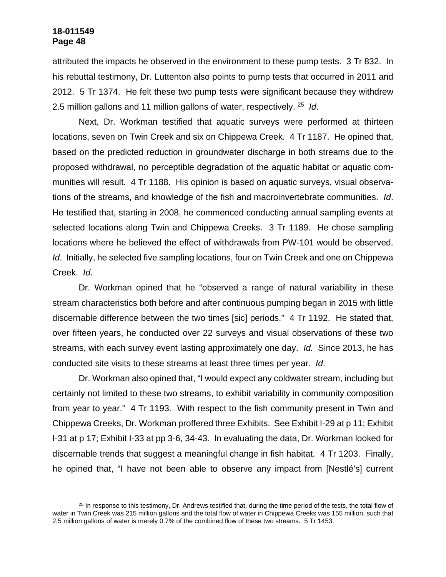attributed the impacts he observed in the environment to these pump tests. 3 Tr 832. In his rebuttal testimony, Dr. Luttenton also points to pump tests that occurred in 2011 and 2012. 5 Tr 1374. He felt these two pump tests were significant because they withdrew 2.5 million gallons and 11 million gallons of water, respectively. <sup>25</sup> *Id*.

Next, Dr. Workman testified that aquatic surveys were performed at thirteen locations, seven on Twin Creek and six on Chippewa Creek. 4 Tr 1187. He opined that, based on the predicted reduction in groundwater discharge in both streams due to the proposed withdrawal, no perceptible degradation of the aquatic habitat or aquatic communities will result. 4 Tr 1188. His opinion is based on aquatic surveys, visual observations of the streams, and knowledge of the fish and macroinvertebrate communities. *Id*. He testified that, starting in 2008, he commenced conducting annual sampling events at selected locations along Twin and Chippewa Creeks. 3 Tr 1189. He chose sampling locations where he believed the effect of withdrawals from PW-101 would be observed. *Id*. Initially, he selected five sampling locations, four on Twin Creek and one on Chippewa Creek. *Id*.

Dr. Workman opined that he "observed a range of natural variability in these stream characteristics both before and after continuous pumping began in 2015 with little discernable difference between the two times [sic] periods." 4 Tr 1192. He stated that, over fifteen years, he conducted over 22 surveys and visual observations of these two streams, with each survey event lasting approximately one day. *Id.* Since 2013, he has conducted site visits to these streams at least three times per year. *Id*.

Dr. Workman also opined that, "I would expect any coldwater stream, including but certainly not limited to these two streams, to exhibit variability in community composition from year to year." 4 Tr 1193. With respect to the fish community present in Twin and Chippewa Creeks, Dr. Workman proffered three Exhibits. See Exhibit I-29 at p 11; Exhibit I-31 at p 17; Exhibit I-33 at pp 3-6, 34-43. In evaluating the data, Dr. Workman looked for discernable trends that suggest a meaningful change in fish habitat. 4 Tr 1203. Finally, he opined that, "I have not been able to observe any impact from [Nestlé's] current

<sup>&</sup>lt;sup>25</sup> In response to this testimony, Dr. Andrews testified that, during the time period of the tests, the total flow of water in Twin Creek was 215 million gallons and the total flow of water in Chippewa Creeks was 155 million, such that 2.5 million gallons of water is merely 0.7% of the combined flow of these two streams. 5 Tr 1453.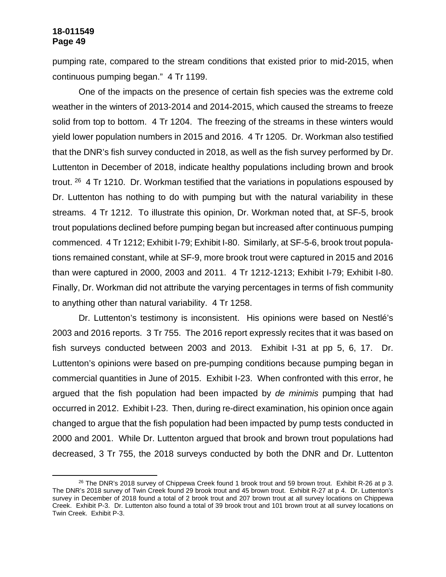pumping rate, compared to the stream conditions that existed prior to mid-2015, when continuous pumping began." 4 Tr 1199.

One of the impacts on the presence of certain fish species was the extreme cold weather in the winters of 2013-2014 and 2014-2015, which caused the streams to freeze solid from top to bottom. 4 Tr 1204. The freezing of the streams in these winters would yield lower population numbers in 2015 and 2016. 4 Tr 1205. Dr. Workman also testified that the DNR's fish survey conducted in 2018, as well as the fish survey performed by Dr. Luttenton in December of 2018, indicate healthy populations including brown and brook trout. <sup>26</sup> 4 Tr 1210. Dr. Workman testified that the variations in populations espoused by Dr. Luttenton has nothing to do with pumping but with the natural variability in these streams. 4 Tr 1212. To illustrate this opinion, Dr. Workman noted that, at SF-5, brook trout populations declined before pumping began but increased after continuous pumping commenced. 4 Tr 1212; Exhibit I-79; Exhibit I-80. Similarly, at SF-5-6, brook trout populations remained constant, while at SF-9, more brook trout were captured in 2015 and 2016 than were captured in 2000, 2003 and 2011. 4 Tr 1212-1213; Exhibit I-79; Exhibit I-80. Finally, Dr. Workman did not attribute the varying percentages in terms of fish community to anything other than natural variability. 4 Tr 1258.

Dr. Luttenton's testimony is inconsistent. His opinions were based on Nestlé's 2003 and 2016 reports. 3 Tr 755. The 2016 report expressly recites that it was based on fish surveys conducted between 2003 and 2013. Exhibit I-31 at pp 5, 6, 17. Dr. Luttenton's opinions were based on pre-pumping conditions because pumping began in commercial quantities in June of 2015. Exhibit I-23. When confronted with this error, he argued that the fish population had been impacted by *de minimis* pumping that had occurred in 2012. Exhibit I-23. Then, during re-direct examination, his opinion once again changed to argue that the fish population had been impacted by pump tests conducted in 2000 and 2001. While Dr. Luttenton argued that brook and brown trout populations had decreased, 3 Tr 755, the 2018 surveys conducted by both the DNR and Dr. Luttenton

<sup>&</sup>lt;sup>26</sup> The DNR's 2018 survey of Chippewa Creek found 1 brook trout and 59 brown trout. Exhibit R-26 at p 3. The DNR's 2018 survey of Twin Creek found 29 brook trout and 45 brown trout. Exhibit R-27 at p 4. Dr. Luttenton's survey in December of 2018 found a total of 2 brook trout and 207 brown trout at all survey locations on Chippewa Creek. Exhibit P-3. Dr. Luttenton also found a total of 39 brook trout and 101 brown trout at all survey locations on Twin Creek. Exhibit P-3.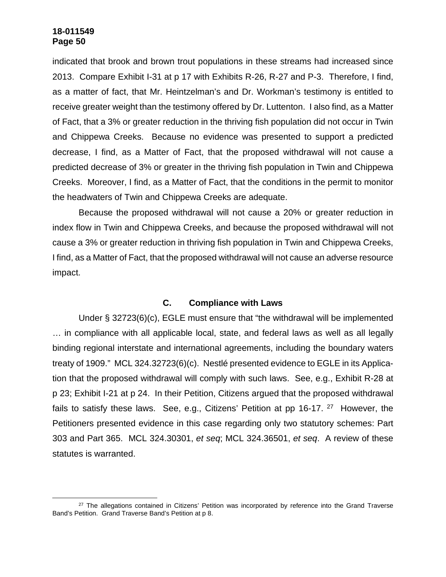indicated that brook and brown trout populations in these streams had increased since 2013. Compare Exhibit I-31 at p 17 with Exhibits R-26, R-27 and P-3. Therefore, I find, as a matter of fact, that Mr. Heintzelman's and Dr. Workman's testimony is entitled to receive greater weight than the testimony offered by Dr. Luttenton. I also find, as a Matter of Fact, that a 3% or greater reduction in the thriving fish population did not occur in Twin and Chippewa Creeks. Because no evidence was presented to support a predicted decrease, I find, as a Matter of Fact, that the proposed withdrawal will not cause a predicted decrease of 3% or greater in the thriving fish population in Twin and Chippewa Creeks. Moreover, I find, as a Matter of Fact, that the conditions in the permit to monitor the headwaters of Twin and Chippewa Creeks are adequate.

Because the proposed withdrawal will not cause a 20% or greater reduction in index flow in Twin and Chippewa Creeks, and because the proposed withdrawal will not cause a 3% or greater reduction in thriving fish population in Twin and Chippewa Creeks, I find, as a Matter of Fact, that the proposed withdrawal will not cause an adverse resource impact.

# **C. Compliance with Laws**

Under § 32723(6)(c), EGLE must ensure that "the withdrawal will be implemented … in compliance with all applicable local, state, and federal laws as well as all legally binding regional interstate and international agreements, including the boundary waters treaty of 1909." MCL 324.32723(6)(c). Nestlé presented evidence to EGLE in its Application that the proposed withdrawal will comply with such laws. See, e.g., Exhibit R-28 at p 23; Exhibit I-21 at p 24. In their Petition, Citizens argued that the proposed withdrawal fails to satisfy these laws. See, e.g., Citizens' Petition at pp 16-17.  $27$  However, the Petitioners presented evidence in this case regarding only two statutory schemes: Part 303 and Part 365. MCL 324.30301, *et seq*; MCL 324.36501, *et seq*. A review of these statutes is warranted.

<sup>&</sup>lt;sup>27</sup> The allegations contained in Citizens' Petition was incorporated by reference into the Grand Traverse Band's Petition. Grand Traverse Band's Petition at p 8.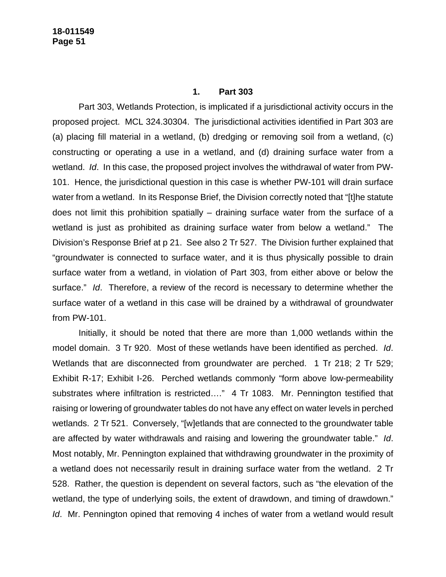#### **1. Part 303**

Part 303, Wetlands Protection, is implicated if a jurisdictional activity occurs in the proposed project. MCL 324.30304. The jurisdictional activities identified in Part 303 are (a) placing fill material in a wetland, (b) dredging or removing soil from a wetland, (c) constructing or operating a use in a wetland, and (d) draining surface water from a wetland. *Id*. In this case, the proposed project involves the withdrawal of water from PW-101. Hence, the jurisdictional question in this case is whether PW-101 will drain surface water from a wetland. In its Response Brief, the Division correctly noted that "[t]he statute does not limit this prohibition spatially – draining surface water from the surface of a wetland is just as prohibited as draining surface water from below a wetland." The Division's Response Brief at p 21. See also 2 Tr 527. The Division further explained that "groundwater is connected to surface water, and it is thus physically possible to drain surface water from a wetland, in violation of Part 303, from either above or below the surface." *Id*. Therefore, a review of the record is necessary to determine whether the surface water of a wetland in this case will be drained by a withdrawal of groundwater from PW-101.

Initially, it should be noted that there are more than 1,000 wetlands within the model domain. 3 Tr 920. Most of these wetlands have been identified as perched. *Id*. Wetlands that are disconnected from groundwater are perched. 1 Tr 218; 2 Tr 529; Exhibit R-17; Exhibit I-26. Perched wetlands commonly "form above low-permeability substrates where infiltration is restricted...." 4 Tr 1083. Mr. Pennington testified that raising or lowering of groundwater tables do not have any effect on water levels in perched wetlands. 2 Tr 521. Conversely, "[w]etlands that are connected to the groundwater table are affected by water withdrawals and raising and lowering the groundwater table." *Id*. Most notably, Mr. Pennington explained that withdrawing groundwater in the proximity of a wetland does not necessarily result in draining surface water from the wetland. 2 Tr 528. Rather, the question is dependent on several factors, such as "the elevation of the wetland, the type of underlying soils, the extent of drawdown, and timing of drawdown." *Id*. Mr. Pennington opined that removing 4 inches of water from a wetland would result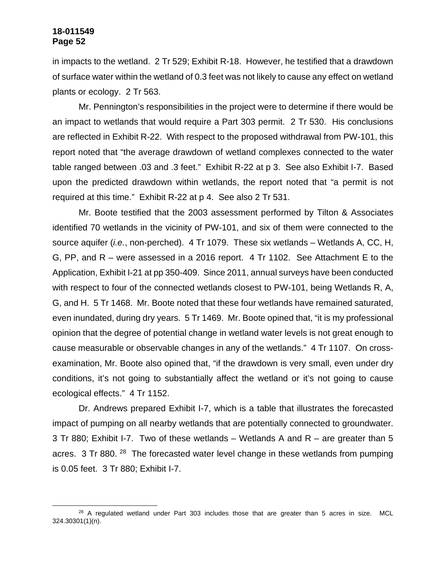in impacts to the wetland. 2 Tr 529; Exhibit R-18. However, he testified that a drawdown of surface water within the wetland of 0.3 feet was not likely to cause any effect on wetland plants or ecology. 2 Tr 563.

Mr. Pennington's responsibilities in the project were to determine if there would be an impact to wetlands that would require a Part 303 permit. 2 Tr 530. His conclusions are reflected in Exhibit R-22. With respect to the proposed withdrawal from PW-101, this report noted that "the average drawdown of wetland complexes connected to the water table ranged between .03 and .3 feet." Exhibit R-22 at p 3. See also Exhibit I-7. Based upon the predicted drawdown within wetlands, the report noted that "a permit is not required at this time." Exhibit R-22 at p 4. See also 2 Tr 531.

Mr. Boote testified that the 2003 assessment performed by Tilton & Associates identified 70 wetlands in the vicinity of PW-101, and six of them were connected to the source aquifer (*i.e.*, non-perched). 4 Tr 1079. These six wetlands – Wetlands A, CC, H, G, PP, and R – were assessed in a 2016 report. 4 Tr 1102. See Attachment E to the Application, Exhibit I-21 at pp 350-409. Since 2011, annual surveys have been conducted with respect to four of the connected wetlands closest to PW-101, being Wetlands R, A, G, and H. 5 Tr 1468. Mr. Boote noted that these four wetlands have remained saturated, even inundated, during dry years. 5 Tr 1469. Mr. Boote opined that, "it is my professional opinion that the degree of potential change in wetland water levels is not great enough to cause measurable or observable changes in any of the wetlands." 4 Tr 1107. On crossexamination, Mr. Boote also opined that, "if the drawdown is very small, even under dry conditions, it's not going to substantially affect the wetland or it's not going to cause ecological effects." 4 Tr 1152.

Dr. Andrews prepared Exhibit I-7, which is a table that illustrates the forecasted impact of pumping on all nearby wetlands that are potentially connected to groundwater. 3 Tr 880; Exhibit I-7. Two of these wetlands – Wetlands A and R – are greater than 5 acres. 3 Tr 880.<sup>28</sup> The forecasted water level change in these wetlands from pumping is 0.05 feet. 3 Tr 880; Exhibit I-7.

 $28$  A regulated wetland under Part 303 includes those that are greater than 5 acres in size. MCL 324.30301(1)(n).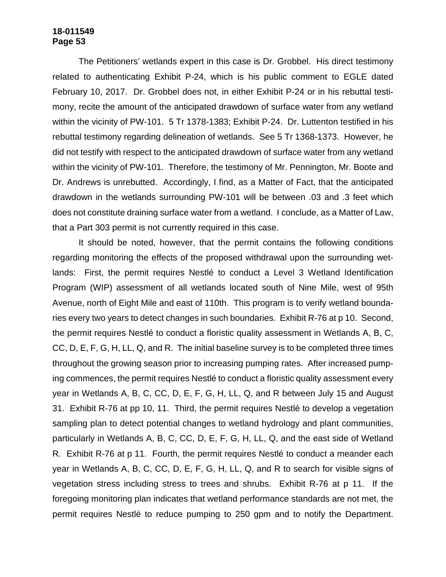The Petitioners' wetlands expert in this case is Dr. Grobbel. His direct testimony related to authenticating Exhibit P-24, which is his public comment to EGLE dated February 10, 2017. Dr. Grobbel does not, in either Exhibit P-24 or in his rebuttal testimony, recite the amount of the anticipated drawdown of surface water from any wetland within the vicinity of PW-101. 5 Tr 1378-1383; Exhibit P-24. Dr. Luttenton testified in his rebuttal testimony regarding delineation of wetlands. See 5 Tr 1368-1373. However, he did not testify with respect to the anticipated drawdown of surface water from any wetland within the vicinity of PW-101. Therefore, the testimony of Mr. Pennington, Mr. Boote and Dr. Andrews is unrebutted. Accordingly, I find, as a Matter of Fact, that the anticipated drawdown in the wetlands surrounding PW-101 will be between .03 and .3 feet which does not constitute draining surface water from a wetland. I conclude, as a Matter of Law, that a Part 303 permit is not currently required in this case.

It should be noted, however, that the permit contains the following conditions regarding monitoring the effects of the proposed withdrawal upon the surrounding wetlands: First, the permit requires Nestlé to conduct a Level 3 Wetland Identification Program (WIP) assessment of all wetlands located south of Nine Mile, west of 95th Avenue, north of Eight Mile and east of 110th. This program is to verify wetland boundaries every two years to detect changes in such boundaries. Exhibit R-76 at p 10. Second, the permit requires Nestlé to conduct a floristic quality assessment in Wetlands A, B, C, CC, D, E, F, G, H, LL, Q, and R. The initial baseline survey is to be completed three times throughout the growing season prior to increasing pumping rates. After increased pumping commences, the permit requires Nestlé to conduct a floristic quality assessment every year in Wetlands A, B, C, CC, D, E, F, G, H, LL, Q, and R between July 15 and August 31. Exhibit R-76 at pp 10, 11. Third, the permit requires Nestlé to develop a vegetation sampling plan to detect potential changes to wetland hydrology and plant communities, particularly in Wetlands A, B, C, CC, D, E, F, G, H, LL, Q, and the east side of Wetland R. Exhibit R-76 at p 11. Fourth, the permit requires Nestlé to conduct a meander each year in Wetlands A, B, C, CC, D, E, F, G, H, LL, Q, and R to search for visible signs of vegetation stress including stress to trees and shrubs. Exhibit R-76 at p 11. If the foregoing monitoring plan indicates that wetland performance standards are not met, the permit requires Nestlé to reduce pumping to 250 gpm and to notify the Department.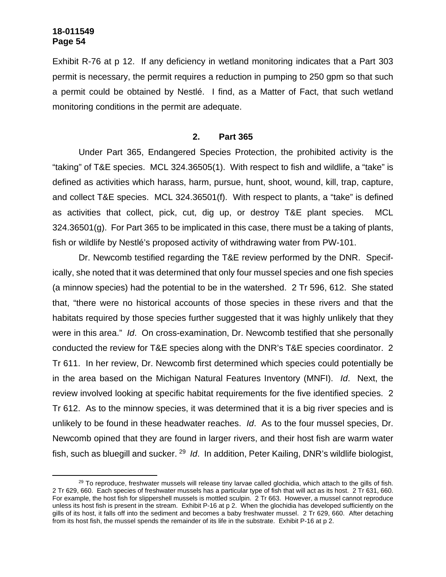Exhibit R-76 at p 12. If any deficiency in wetland monitoring indicates that a Part 303 permit is necessary, the permit requires a reduction in pumping to 250 gpm so that such a permit could be obtained by Nestlé. I find, as a Matter of Fact, that such wetland monitoring conditions in the permit are adequate.

#### **2. Part 365**

Under Part 365, Endangered Species Protection, the prohibited activity is the "taking" of T&E species. MCL 324.36505(1). With respect to fish and wildlife, a "take" is defined as activities which harass, harm, pursue, hunt, shoot, wound, kill, trap, capture, and collect T&E species. MCL 324.36501(f). With respect to plants, a "take" is defined as activities that collect, pick, cut, dig up, or destroy T&E plant species. MCL 324.36501(g). For Part 365 to be implicated in this case, there must be a taking of plants, fish or wildlife by Nestlé's proposed activity of withdrawing water from PW-101.

Dr. Newcomb testified regarding the T&E review performed by the DNR. Specifically, she noted that it was determined that only four mussel species and one fish species (a minnow species) had the potential to be in the watershed. 2 Tr 596, 612. She stated that, "there were no historical accounts of those species in these rivers and that the habitats required by those species further suggested that it was highly unlikely that they were in this area." *Id*. On cross-examination, Dr. Newcomb testified that she personally conducted the review for T&E species along with the DNR's T&E species coordinator. 2 Tr 611. In her review, Dr. Newcomb first determined which species could potentially be in the area based on the Michigan Natural Features Inventory (MNFI). *Id*. Next, the review involved looking at specific habitat requirements for the five identified species. 2 Tr 612. As to the minnow species, it was determined that it is a big river species and is unlikely to be found in these headwater reaches. *Id*. As to the four mussel species, Dr. Newcomb opined that they are found in larger rivers, and their host fish are warm water fish, such as bluegill and sucker. <sup>29</sup> Id. In addition, Peter Kailing, DNR's wildlife biologist,

<sup>&</sup>lt;sup>29</sup> To reproduce, freshwater mussels will release tiny larvae called glochidia, which attach to the gills of fish. 2 Tr 629, 660. Each species of freshwater mussels has a particular type of fish that will act as its host. 2 Tr 631, 660. For example, the host fish for slippershell mussels is mottled sculpin. 2 Tr 663. However, a mussel cannot reproduce unless its host fish is present in the stream. Exhibit P-16 at p 2. When the glochidia has developed sufficiently on the gills of its host, it falls off into the sediment and becomes a baby freshwater mussel. 2 Tr 629, 660. After detaching from its host fish, the mussel spends the remainder of its life in the substrate. Exhibit P-16 at p 2.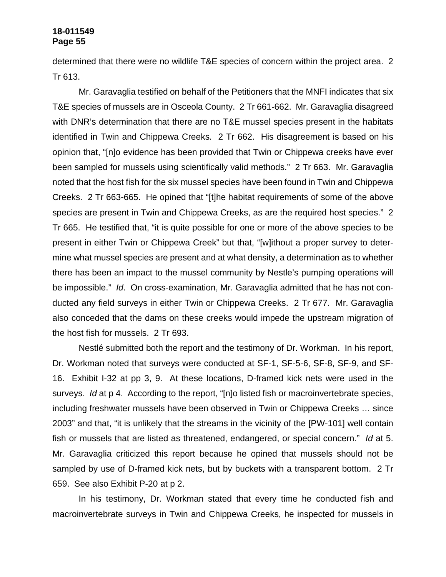determined that there were no wildlife T&E species of concern within the project area. 2 Tr 613.

Mr. Garavaglia testified on behalf of the Petitioners that the MNFI indicates that six T&E species of mussels are in Osceola County. 2 Tr 661-662. Mr. Garavaglia disagreed with DNR's determination that there are no T&E mussel species present in the habitats identified in Twin and Chippewa Creeks. 2 Tr 662. His disagreement is based on his opinion that, "[n]o evidence has been provided that Twin or Chippewa creeks have ever been sampled for mussels using scientifically valid methods." 2 Tr 663. Mr. Garavaglia noted that the host fish for the six mussel species have been found in Twin and Chippewa Creeks. 2 Tr 663-665. He opined that "[t]he habitat requirements of some of the above species are present in Twin and Chippewa Creeks, as are the required host species." 2 Tr 665. He testified that, "it is quite possible for one or more of the above species to be present in either Twin or Chippewa Creek" but that, "[w]ithout a proper survey to determine what mussel species are present and at what density, a determination as to whether there has been an impact to the mussel community by Nestle's pumping operations will be impossible." *Id*. On cross-examination, Mr. Garavaglia admitted that he has not conducted any field surveys in either Twin or Chippewa Creeks. 2 Tr 677. Mr. Garavaglia also conceded that the dams on these creeks would impede the upstream migration of the host fish for mussels. 2 Tr 693.

Nestlé submitted both the report and the testimony of Dr. Workman. In his report, Dr. Workman noted that surveys were conducted at SF-1, SF-5-6, SF-8, SF-9, and SF-16. Exhibit I-32 at pp 3, 9. At these locations, D-framed kick nets were used in the surveys. *Id* at p 4. According to the report, "[n]o listed fish or macroinvertebrate species, including freshwater mussels have been observed in Twin or Chippewa Creeks … since 2003" and that, "it is unlikely that the streams in the vicinity of the [PW-101] well contain fish or mussels that are listed as threatened, endangered, or special concern." *Id* at 5. Mr. Garavaglia criticized this report because he opined that mussels should not be sampled by use of D-framed kick nets, but by buckets with a transparent bottom. 2 Tr 659. See also Exhibit P-20 at p 2.

In his testimony, Dr. Workman stated that every time he conducted fish and macroinvertebrate surveys in Twin and Chippewa Creeks, he inspected for mussels in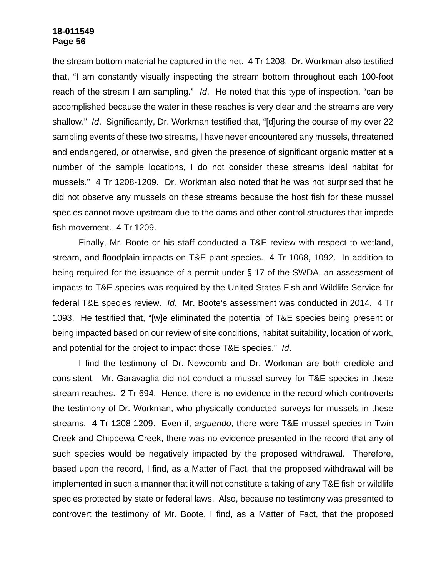the stream bottom material he captured in the net. 4 Tr 1208. Dr. Workman also testified that, "I am constantly visually inspecting the stream bottom throughout each 100-foot reach of the stream I am sampling." *Id*. He noted that this type of inspection, "can be accomplished because the water in these reaches is very clear and the streams are very shallow." *Id*. Significantly, Dr. Workman testified that, "[d]uring the course of my over 22 sampling events of these two streams, I have never encountered any mussels, threatened and endangered, or otherwise, and given the presence of significant organic matter at a number of the sample locations, I do not consider these streams ideal habitat for mussels." 4 Tr 1208-1209. Dr. Workman also noted that he was not surprised that he did not observe any mussels on these streams because the host fish for these mussel species cannot move upstream due to the dams and other control structures that impede fish movement. 4 Tr 1209.

Finally, Mr. Boote or his staff conducted a T&E review with respect to wetland, stream, and floodplain impacts on T&E plant species. 4 Tr 1068, 1092. In addition to being required for the issuance of a permit under § 17 of the SWDA, an assessment of impacts to T&E species was required by the United States Fish and Wildlife Service for federal T&E species review. *Id*. Mr. Boote's assessment was conducted in 2014. 4 Tr 1093. He testified that, "[w]e eliminated the potential of T&E species being present or being impacted based on our review of site conditions, habitat suitability, location of work, and potential for the project to impact those T&E species." *Id*.

I find the testimony of Dr. Newcomb and Dr. Workman are both credible and consistent. Mr. Garavaglia did not conduct a mussel survey for T&E species in these stream reaches. 2 Tr 694. Hence, there is no evidence in the record which controverts the testimony of Dr. Workman, who physically conducted surveys for mussels in these streams. 4 Tr 1208-1209. Even if, *arguendo*, there were T&E mussel species in Twin Creek and Chippewa Creek, there was no evidence presented in the record that any of such species would be negatively impacted by the proposed withdrawal. Therefore, based upon the record, I find, as a Matter of Fact, that the proposed withdrawal will be implemented in such a manner that it will not constitute a taking of any T&E fish or wildlife species protected by state or federal laws. Also, because no testimony was presented to controvert the testimony of Mr. Boote, I find, as a Matter of Fact, that the proposed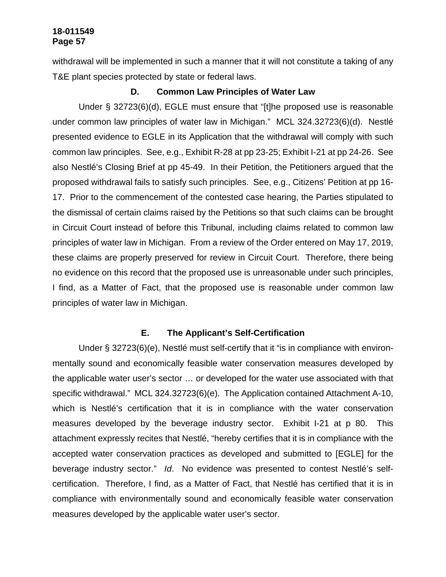withdrawal will be implemented in such a manner that it will not constitute a taking of any T&E plant species protected by state or federal laws.

# **D. Common Law Principles of Water Law**

Under § 32723(6)(d), EGLE must ensure that "[t]he proposed use is reasonable under common law principles of water law in Michigan." MCL 324.32723(6)(d). Nestlé presented evidence to EGLE in its Application that the withdrawal will comply with such common law principles. See, e.g., Exhibit R-28 at pp 23-25; Exhibit I-21 at pp 24-26. See also Nestlé's Closing Brief at pp 45-49. In their Petition, the Petitioners argued that the proposed withdrawal fails to satisfy such principles. See, e.g., Citizens' Petition at pp 16- 17. Prior to the commencement of the contested case hearing, the Parties stipulated to the dismissal of certain claims raised by the Petitions so that such claims can be brought in Circuit Court instead of before this Tribunal, including claims related to common law principles of water law in Michigan. From a review of the Order entered on May 17, 2019, these claims are properly preserved for review in Circuit Court. Therefore, there being no evidence on this record that the proposed use is unreasonable under such principles, I find, as a Matter of Fact, that the proposed use is reasonable under common law principles of water law in Michigan.

### **E. The Applicant's Self-Certification**

Under § 32723(6)(e), Nestlé must self-certify that it "is in compliance with environmentally sound and economically feasible water conservation measures developed by the applicable water user's sector … or developed for the water use associated with that specific withdrawal." MCL 324.32723(6)(e). The Application contained Attachment A-10, which is Nestlé's certification that it is in compliance with the water conservation measures developed by the beverage industry sector. Exhibit I-21 at p 80. This attachment expressly recites that Nestlé, "hereby certifies that it is in compliance with the accepted water conservation practices as developed and submitted to [EGLE] for the beverage industry sector." *Id*. No evidence was presented to contest Nestlé's selfcertification. Therefore, I find, as a Matter of Fact, that Nestlé has certified that it is in compliance with environmentally sound and economically feasible water conservation measures developed by the applicable water user's sector.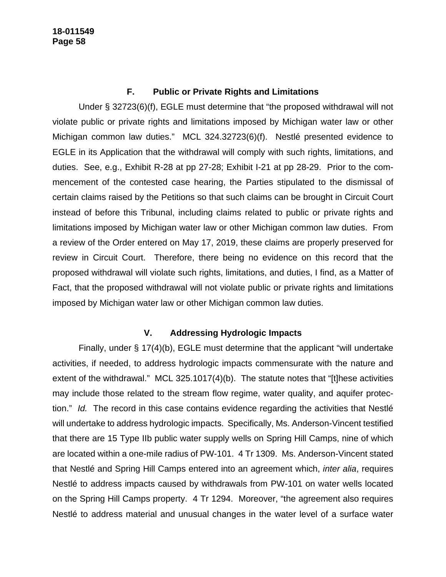# **F. Public or Private Rights and Limitations**

Under § 32723(6)(f), EGLE must determine that "the proposed withdrawal will not violate public or private rights and limitations imposed by Michigan water law or other Michigan common law duties." MCL 324.32723(6)(f). Nestlé presented evidence to EGLE in its Application that the withdrawal will comply with such rights, limitations, and duties. See, e.g., Exhibit R-28 at pp 27-28; Exhibit I-21 at pp 28-29. Prior to the commencement of the contested case hearing, the Parties stipulated to the dismissal of certain claims raised by the Petitions so that such claims can be brought in Circuit Court instead of before this Tribunal, including claims related to public or private rights and limitations imposed by Michigan water law or other Michigan common law duties. From a review of the Order entered on May 17, 2019, these claims are properly preserved for review in Circuit Court. Therefore, there being no evidence on this record that the proposed withdrawal will violate such rights, limitations, and duties, I find, as a Matter of Fact, that the proposed withdrawal will not violate public or private rights and limitations imposed by Michigan water law or other Michigan common law duties.

# **V. Addressing Hydrologic Impacts**

Finally, under § 17(4)(b), EGLE must determine that the applicant "will undertake activities, if needed, to address hydrologic impacts commensurate with the nature and extent of the withdrawal." MCL 325.1017(4)(b). The statute notes that "[t]hese activities may include those related to the stream flow regime, water quality, and aquifer protection." *Id.* The record in this case contains evidence regarding the activities that Nestlé will undertake to address hydrologic impacts. Specifically, Ms. Anderson-Vincent testified that there are 15 Type IIb public water supply wells on Spring Hill Camps, nine of which are located within a one-mile radius of PW-101. 4 Tr 1309. Ms. Anderson-Vincent stated that Nestlé and Spring Hill Camps entered into an agreement which, *inter alia*, requires Nestlé to address impacts caused by withdrawals from PW-101 on water wells located on the Spring Hill Camps property. 4 Tr 1294. Moreover, "the agreement also requires Nestlé to address material and unusual changes in the water level of a surface water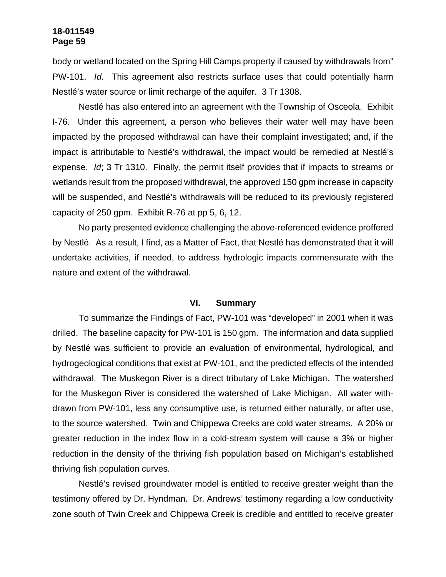body or wetland located on the Spring Hill Camps property if caused by withdrawals from" PW-101. *Id*. This agreement also restricts surface uses that could potentially harm Nestlé's water source or limit recharge of the aquifer. 3 Tr 1308.

Nestlé has also entered into an agreement with the Township of Osceola. Exhibit I-76. Under this agreement, a person who believes their water well may have been impacted by the proposed withdrawal can have their complaint investigated; and, if the impact is attributable to Nestlé's withdrawal, the impact would be remedied at Nestlé's expense. *Id*; 3 Tr 1310. Finally, the permit itself provides that if impacts to streams or wetlands result from the proposed withdrawal, the approved 150 gpm increase in capacity will be suspended, and Nestlé's withdrawals will be reduced to its previously registered capacity of 250 gpm. Exhibit R-76 at pp 5, 6, 12.

No party presented evidence challenging the above-referenced evidence proffered by Nestlé. As a result, I find, as a Matter of Fact, that Nestlé has demonstrated that it will undertake activities, if needed, to address hydrologic impacts commensurate with the nature and extent of the withdrawal.

#### **VI. Summary**

To summarize the Findings of Fact, PW-101 was "developed" in 2001 when it was drilled. The baseline capacity for PW-101 is 150 gpm. The information and data supplied by Nestlé was sufficient to provide an evaluation of environmental, hydrological, and hydrogeological conditions that exist at PW-101, and the predicted effects of the intended withdrawal. The Muskegon River is a direct tributary of Lake Michigan. The watershed for the Muskegon River is considered the watershed of Lake Michigan. All water withdrawn from PW-101, less any consumptive use, is returned either naturally, or after use, to the source watershed. Twin and Chippewa Creeks are cold water streams. A 20% or greater reduction in the index flow in a cold-stream system will cause a 3% or higher reduction in the density of the thriving fish population based on Michigan's established thriving fish population curves.

Nestlé's revised groundwater model is entitled to receive greater weight than the testimony offered by Dr. Hyndman. Dr. Andrews' testimony regarding a low conductivity zone south of Twin Creek and Chippewa Creek is credible and entitled to receive greater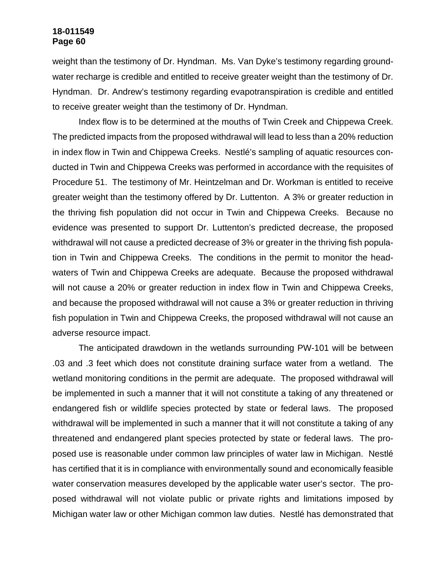weight than the testimony of Dr. Hyndman. Ms. Van Dyke's testimony regarding groundwater recharge is credible and entitled to receive greater weight than the testimony of Dr. Hyndman. Dr. Andrew's testimony regarding evapotranspiration is credible and entitled to receive greater weight than the testimony of Dr. Hyndman.

Index flow is to be determined at the mouths of Twin Creek and Chippewa Creek. The predicted impacts from the proposed withdrawal will lead to less than a 20% reduction in index flow in Twin and Chippewa Creeks. Nestlé's sampling of aquatic resources conducted in Twin and Chippewa Creeks was performed in accordance with the requisites of Procedure 51. The testimony of Mr. Heintzelman and Dr. Workman is entitled to receive greater weight than the testimony offered by Dr. Luttenton. A 3% or greater reduction in the thriving fish population did not occur in Twin and Chippewa Creeks. Because no evidence was presented to support Dr. Luttenton's predicted decrease, the proposed withdrawal will not cause a predicted decrease of 3% or greater in the thriving fish population in Twin and Chippewa Creeks. The conditions in the permit to monitor the headwaters of Twin and Chippewa Creeks are adequate. Because the proposed withdrawal will not cause a 20% or greater reduction in index flow in Twin and Chippewa Creeks, and because the proposed withdrawal will not cause a 3% or greater reduction in thriving fish population in Twin and Chippewa Creeks, the proposed withdrawal will not cause an adverse resource impact.

The anticipated drawdown in the wetlands surrounding PW-101 will be between .03 and .3 feet which does not constitute draining surface water from a wetland. The wetland monitoring conditions in the permit are adequate. The proposed withdrawal will be implemented in such a manner that it will not constitute a taking of any threatened or endangered fish or wildlife species protected by state or federal laws. The proposed withdrawal will be implemented in such a manner that it will not constitute a taking of any threatened and endangered plant species protected by state or federal laws. The proposed use is reasonable under common law principles of water law in Michigan. Nestlé has certified that it is in compliance with environmentally sound and economically feasible water conservation measures developed by the applicable water user's sector. The proposed withdrawal will not violate public or private rights and limitations imposed by Michigan water law or other Michigan common law duties. Nestlé has demonstrated that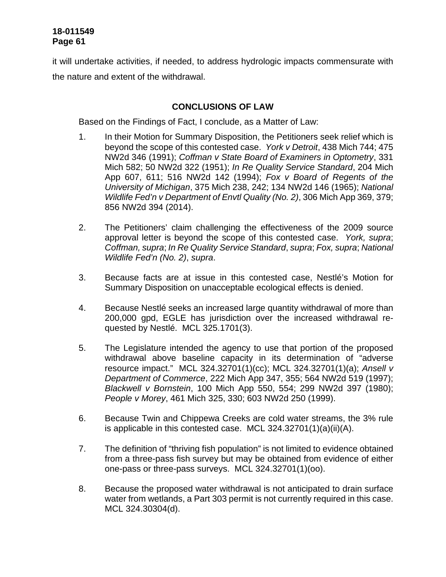it will undertake activities, if needed, to address hydrologic impacts commensurate with the nature and extent of the withdrawal.

# **CONCLUSIONS OF LAW**

Based on the Findings of Fact, I conclude, as a Matter of Law:

- 1. In their Motion for Summary Disposition, the Petitioners seek relief which is beyond the scope of this contested case. *York v Detroit*, 438 Mich 744; 475 NW2d 346 (1991); *Coffman v State Board of Examiners in Optometry*, 331 Mich 582; 50 NW2d 322 (1951); *In Re Quality Service Standard*, 204 Mich App 607, 611; 516 NW2d 142 (1994); *Fox v Board of Regents of the University of Michigan*, 375 Mich 238, 242; 134 NW2d 146 (1965); *National Wildlife Fed'n v Department of Envtl Quality (No. 2)*, 306 Mich App 369, 379; 856 NW2d 394 (2014).
- 2. The Petitioners' claim challenging the effectiveness of the 2009 source approval letter is beyond the scope of this contested case. *York, supra*; *Coffman, supra*; *In Re Quality Service Standard*, *supra*; *Fox, supra*; *National Wildlife Fed'n (No. 2)*, *supra*.
- 3. Because facts are at issue in this contested case, Nestlé's Motion for Summary Disposition on unacceptable ecological effects is denied.
- 4. Because Nestlé seeks an increased large quantity withdrawal of more than 200,000 gpd, EGLE has jurisdiction over the increased withdrawal requested by Nestlé. MCL 325.1701(3).
- 5. The Legislature intended the agency to use that portion of the proposed withdrawal above baseline capacity in its determination of "adverse resource impact." MCL 324.32701(1)(cc); MCL 324.32701(1)(a); *Ansell v Department of Commerce*, 222 Mich App 347, 355; 564 NW2d 519 (1997); *Blackwell v Bornstein*, 100 Mich App 550, 554; 299 NW2d 397 (1980); *People v Morey*, 461 Mich 325, 330; 603 NW2d 250 (1999).
- 6. Because Twin and Chippewa Creeks are cold water streams, the 3% rule is applicable in this contested case. MCL 324.32701(1)(a)(ii)(A).
- 7. The definition of "thriving fish population" is not limited to evidence obtained from a three-pass fish survey but may be obtained from evidence of either one-pass or three-pass surveys. MCL 324.32701(1)(oo).
- 8. Because the proposed water withdrawal is not anticipated to drain surface water from wetlands, a Part 303 permit is not currently required in this case. MCL 324.30304(d).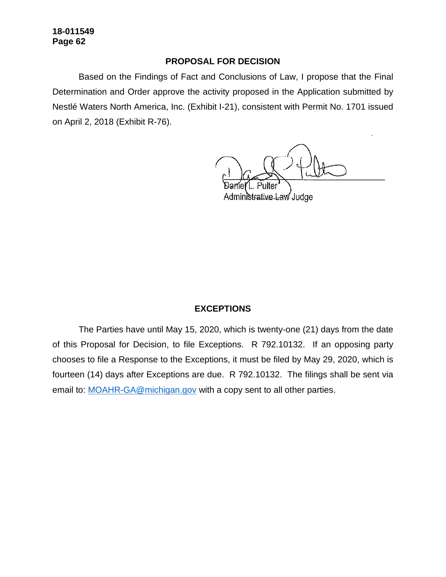### **PROPOSAL FOR DECISION**

Based on the Findings of Fact and Conclusions of Law, I propose that the Final Determination and Order approve the activity proposed in the Application submitted by Nestlé Waters North America, Inc. (Exhibit I-21), consistent with Permit No. 1701 issued on April 2, 2018 (Exhibit R-76).

Pultei

Administrative Law Judge

### **EXCEPTIONS**

The Parties have until May 15, 2020, which is twenty-one (21) days from the date of this Proposal for Decision, to file Exceptions. R 792.10132. If an opposing party chooses to file a Response to the Exceptions, it must be filed by May 29, 2020, which is fourteen (14) days after Exceptions are due. R 792.10132. The filings shall be sent via email to: [MOAHR-GA@michigan.gov](mailto:MOAHR-GA@michigan.gov) with a copy sent to all other parties.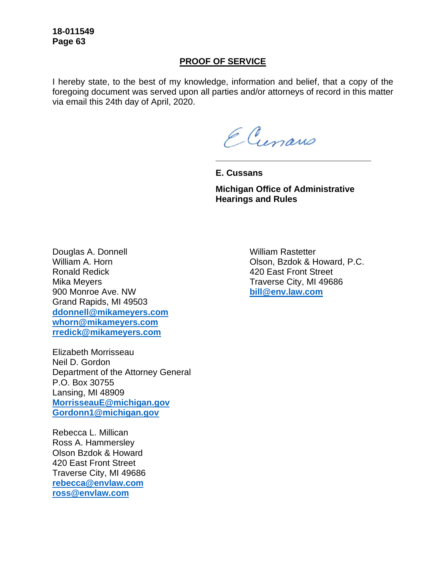### **PROOF OF SERVICE**

I hereby state, to the best of my knowledge, information and belief, that a copy of the foregoing document was served upon all parties and/or attorneys of record in this matter via email this 24th day of April, 2020.

ECunano

**E. Cussans** 

**Michigan Office of Administrative Hearings and Rules** 

**\_\_\_\_\_\_\_\_\_\_\_\_\_\_\_\_\_\_\_\_\_\_\_\_\_\_\_\_\_\_\_\_**

Douglas A. Donnell William A. Horn Ronald Redick Mika Meyers 900 Monroe Ave. NW Grand Rapids, MI 49503 **[ddonnell@mikameyers.com](mailto:ddonnell@mikameyers.com) [whorn@mikameyers.com](mailto:whorn@mikameyers.com)  [rredick@mikameyers.com](mailto:rredick@mikameyers.com)** 

Elizabeth Morrisseau Neil D. Gordon Department of the Attorney General P.O. Box 30755 Lansing, MI 48909 **[MorrisseauE@michigan.gov](mailto:MorrisseauE@michigan.gov) [Gordonn1@michigan.gov](mailto:Gordonn1@michigan.gov)** 

Rebecca L. Millican Ross A. Hammersley Olson Bzdok & Howard 420 East Front Street Traverse City, MI 49686 **[rebecca@envlaw.com](mailto:rebecca@envlaw.com)  [ross@envlaw.com](mailto:ross@envlaw.com)** 

William Rastetter Olson, Bzdok & Howard, P.C. 420 East Front Street Traverse City, MI 49686 **[bill@env.law.com](mailto:bill@env.law.com)**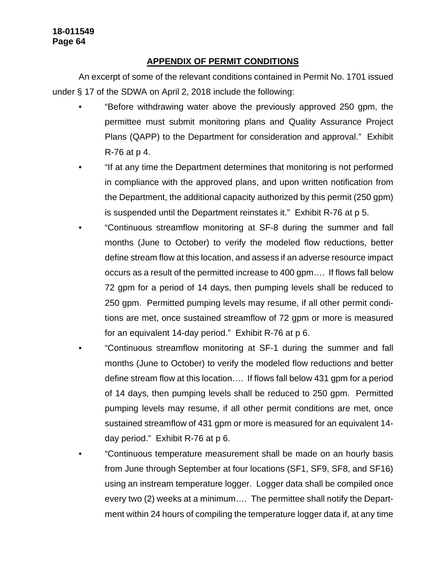# **APPENDIX OF PERMIT CONDITIONS**

An excerpt of some of the relevant conditions contained in Permit No. 1701 issued under § 17 of the SDWA on April 2, 2018 include the following:

- "Before withdrawing water above the previously approved 250 gpm, the permittee must submit monitoring plans and Quality Assurance Project Plans (QAPP) to the Department for consideration and approval." Exhibit R-76 at p 4.
- "If at any time the Department determines that monitoring is not performed in compliance with the approved plans, and upon written notification from the Department, the additional capacity authorized by this permit (250 gpm) is suspended until the Department reinstates it." Exhibit R-76 at p 5.
- "Continuous streamflow monitoring at SF-8 during the summer and fall months (June to October) to verify the modeled flow reductions, better define stream flow at this location, and assess if an adverse resource impact occurs as a result of the permitted increase to 400 gpm…. If flows fall below 72 gpm for a period of 14 days, then pumping levels shall be reduced to 250 gpm. Permitted pumping levels may resume, if all other permit conditions are met, once sustained streamflow of 72 gpm or more is measured for an equivalent 14-day period." Exhibit R-76 at p 6.
- "Continuous streamflow monitoring at SF-1 during the summer and fall months (June to October) to verify the modeled flow reductions and better define stream flow at this location…. If flows fall below 431 gpm for a period of 14 days, then pumping levels shall be reduced to 250 gpm. Permitted pumping levels may resume, if all other permit conditions are met, once sustained streamflow of 431 gpm or more is measured for an equivalent 14 day period." Exhibit R-76 at p 6.
- "Continuous temperature measurement shall be made on an hourly basis from June through September at four locations (SF1, SF9, SF8, and SF16) using an instream temperature logger. Logger data shall be compiled once every two (2) weeks at a minimum…. The permittee shall notify the Department within 24 hours of compiling the temperature logger data if, at any time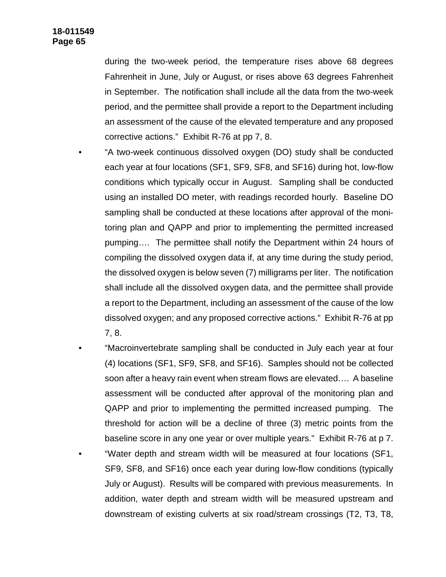during the two-week period, the temperature rises above 68 degrees Fahrenheit in June, July or August, or rises above 63 degrees Fahrenheit in September. The notification shall include all the data from the two-week period, and the permittee shall provide a report to the Department including an assessment of the cause of the elevated temperature and any proposed corrective actions." Exhibit R-76 at pp 7, 8.

- "A two-week continuous dissolved oxygen (DO) study shall be conducted each year at four locations (SF1, SF9, SF8, and SF16) during hot, low-flow conditions which typically occur in August. Sampling shall be conducted using an installed DO meter, with readings recorded hourly. Baseline DO sampling shall be conducted at these locations after approval of the monitoring plan and QAPP and prior to implementing the permitted increased pumping…. The permittee shall notify the Department within 24 hours of compiling the dissolved oxygen data if, at any time during the study period, the dissolved oxygen is below seven (7) milligrams per liter. The notification shall include all the dissolved oxygen data, and the permittee shall provide a report to the Department, including an assessment of the cause of the low dissolved oxygen; and any proposed corrective actions." Exhibit R-76 at pp 7, 8.
- "Macroinvertebrate sampling shall be conducted in July each year at four (4) locations (SF1, SF9, SF8, and SF16). Samples should not be collected soon after a heavy rain event when stream flows are elevated…. A baseline assessment will be conducted after approval of the monitoring plan and QAPP and prior to implementing the permitted increased pumping. The threshold for action will be a decline of three (3) metric points from the baseline score in any one year or over multiple years." Exhibit R-76 at p 7.
- "Water depth and stream width will be measured at four locations (SF1, SF9, SF8, and SF16) once each year during low-flow conditions (typically July or August). Results will be compared with previous measurements. In addition, water depth and stream width will be measured upstream and downstream of existing culverts at six road/stream crossings (T2, T3, T8,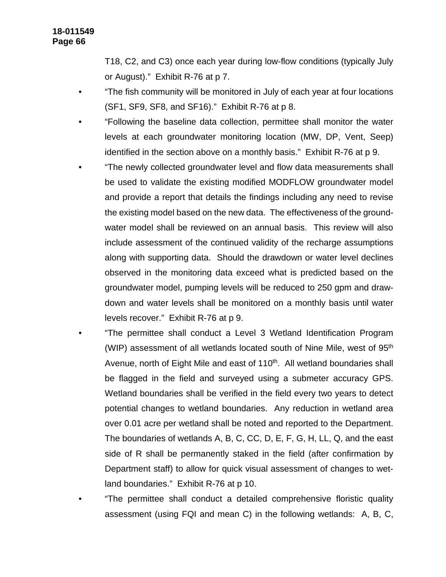T18, C2, and C3) once each year during low-flow conditions (typically July or August)." Exhibit R-76 at p 7.

- "The fish community will be monitored in July of each year at four locations (SF1, SF9, SF8, and SF16)." Exhibit R-76 at p 8.
- "Following the baseline data collection, permittee shall monitor the water levels at each groundwater monitoring location (MW, DP, Vent, Seep) identified in the section above on a monthly basis." Exhibit R-76 at p 9.
- "The newly collected groundwater level and flow data measurements shall be used to validate the existing modified MODFLOW groundwater model and provide a report that details the findings including any need to revise the existing model based on the new data. The effectiveness of the groundwater model shall be reviewed on an annual basis. This review will also include assessment of the continued validity of the recharge assumptions along with supporting data. Should the drawdown or water level declines observed in the monitoring data exceed what is predicted based on the groundwater model, pumping levels will be reduced to 250 gpm and drawdown and water levels shall be monitored on a monthly basis until water levels recover." Exhibit R-76 at p 9.
- "The permittee shall conduct a Level 3 Wetland Identification Program (WIP) assessment of all wetlands located south of Nine Mile, west of 95<sup>th</sup> Avenue, north of Eight Mile and east of 110<sup>th</sup>. All wetland boundaries shall be flagged in the field and surveyed using a submeter accuracy GPS. Wetland boundaries shall be verified in the field every two years to detect potential changes to wetland boundaries. Any reduction in wetland area over 0.01 acre per wetland shall be noted and reported to the Department. The boundaries of wetlands A, B, C, CC, D, E, F, G, H, LL, Q, and the east side of R shall be permanently staked in the field (after confirmation by Department staff) to allow for quick visual assessment of changes to wetland boundaries." Exhibit R-76 at p 10.
- "The permittee shall conduct a detailed comprehensive floristic quality assessment (using FQI and mean C) in the following wetlands: A, B, C,